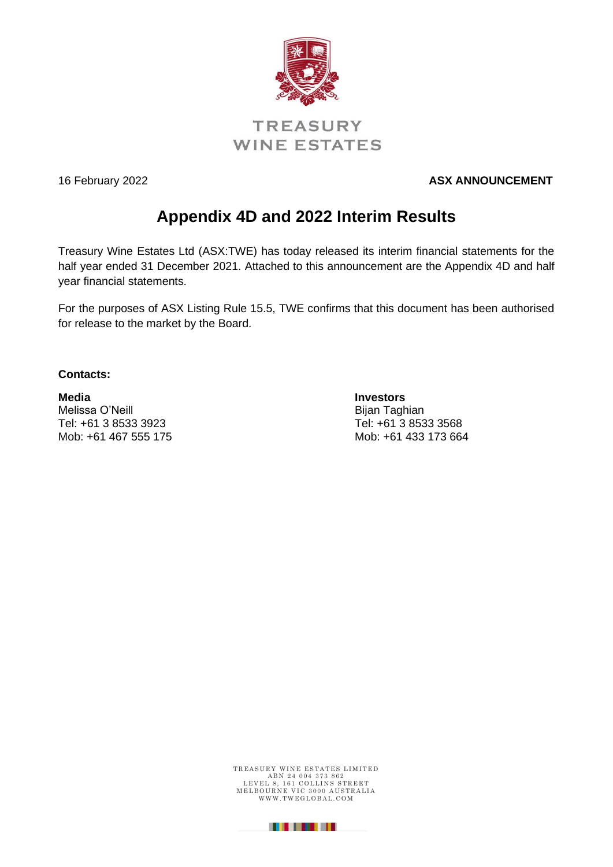

16 February 2022 **ASX ANNOUNCEMENT** 

# **Appendix 4D and 2022 Interim Results**

Treasury Wine Estates Ltd (ASX:TWE) has today released its interim financial statements for the half year ended 31 December 2021. Attached to this announcement are the Appendix 4D and half year financial statements.

For the purposes of ASX Listing Rule 15.5, TWE confirms that this document has been authorised for release to the market by the Board.

**Contacts:**

**Media Investors** Melissa O'Neill **Bijan Taghian** Tel: +61 3 8533 3923 Tel: +61 3 8533 3568 Mob: +61 467 555 175 Mob: +61 433 173 664

TREASURY WINE ESTATES LIMITED ABN 24 004 373 862<br>LEVEL 8, 161 COLLINS STREET MELBOURNE VIC 3000 AUSTRALIA<br>WWW.TWEGLOBAL.COM

. . . . . . . .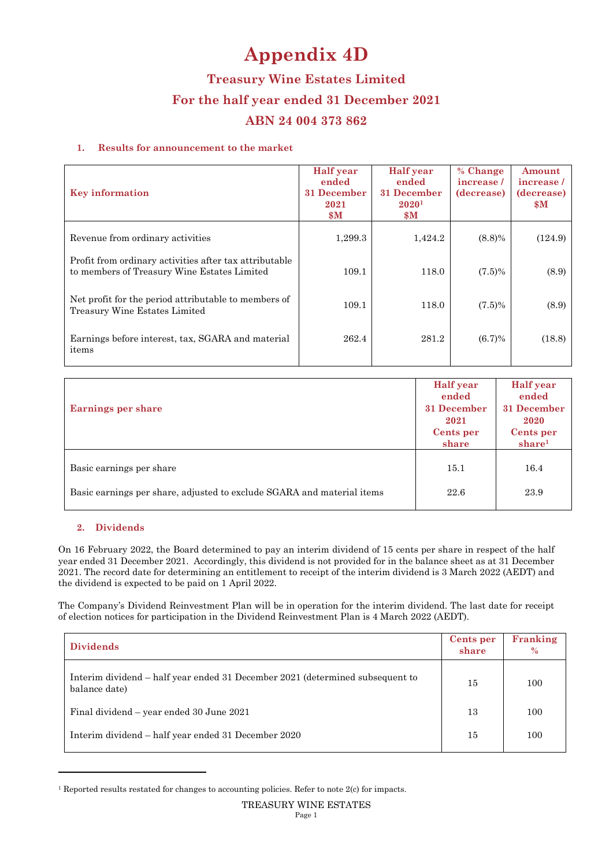# **Appendix 4D**

**Treasury Wine Estates Limited For the half year ended 31 December 2021 ABN 24 004 373 862** 

#### **1. Results for announcement to the market**

| <b>Key information</b>                                                                                | <b>Half</b> year<br>ended<br>31 December<br>2021<br>$\mathbf{\$M}$ | <b>Half</b> year<br>ended<br>31 December<br>2020 <sup>1</sup><br>$\mathbf{\$M}$ | % Change<br>increase/<br>(decrease) | Amount<br>increase/<br>(decrease)<br>$\mathbf{s}$ M |
|-------------------------------------------------------------------------------------------------------|--------------------------------------------------------------------|---------------------------------------------------------------------------------|-------------------------------------|-----------------------------------------------------|
| Revenue from ordinary activities                                                                      | 1,299.3                                                            | 1,424.2                                                                         | $(8.8)\%$                           | (124.9)                                             |
| Profit from ordinary activities after tax attributable<br>to members of Treasury Wine Estates Limited | 109.1                                                              | 118.0                                                                           | $(7.5)\%$                           | (8.9)                                               |
| Net profit for the period attributable to members of<br>Treasury Wine Estates Limited                 | 109.1                                                              | 118.0                                                                           | $(7.5)\%$                           | (8.9)                                               |
| Earnings before interest, tax, SGARA and material<br>items                                            | 262.4                                                              | 281.2                                                                           | (6.7)%                              | (18.8)                                              |

| <b>Earnings per share</b>                                              | <b>Half</b> year<br>ended<br>31 December<br>2021<br>Cents per<br>share | <b>Half</b> year<br>ended<br>31 December<br>2020<br>Cents per<br>share <sup>1</sup> |
|------------------------------------------------------------------------|------------------------------------------------------------------------|-------------------------------------------------------------------------------------|
| Basic earnings per share                                               | 15.1                                                                   | 16.4                                                                                |
| Basic earnings per share, adjusted to exclude SGARA and material items | 22.6                                                                   | 23.9                                                                                |

#### **2. Dividends**

On 16 February 2022, the Board determined to pay an interim dividend of 15 cents per share in respect of the half year ended 31 December 2021. Accordingly, this dividend is not provided for in the balance sheet as at 31 December 2021. The record date for determining an entitlement to receipt of the interim dividend is 3 March 2022 (AEDT) and the dividend is expected to be paid on 1 April 2022.

The Company's Dividend Reinvestment Plan will be in operation for the interim dividend. The last date for receipt of election notices for participation in the Dividend Reinvestment Plan is 4 March 2022 (AEDT).

| <b>Dividends</b>                                                                               | <b>Cents</b> per<br>share | Franking<br>$\%$ |
|------------------------------------------------------------------------------------------------|---------------------------|------------------|
| Interim dividend – half year ended 31 December 2021 (determined subsequent to<br>balance date) | 15                        | 100              |
| Final dividend – year ended 30 June 2021                                                       | 13                        | 100              |
| Interim dividend – half year ended 31 December 2020                                            | 15                        | 100              |

<sup>1</sup> Reported results restated for changes to accounting policies. Refer to note 2(c) for impacts.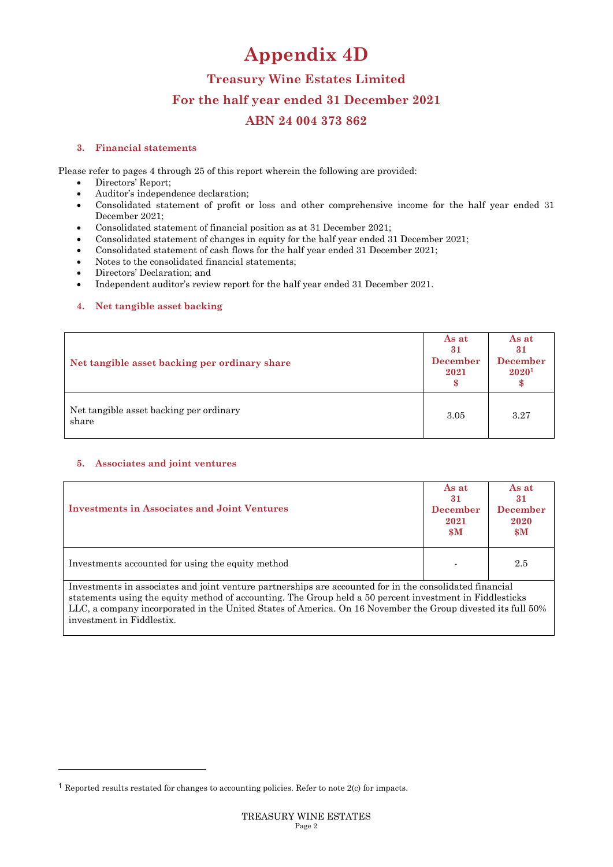# **Appendix 4D**

## **Treasury Wine Estates Limited For the half year ended 31 December 2021 ABN 24 004 373 862**

#### **3. Financial statements**

Please refer to pages 4 through 25 of this report wherein the following are provided:

- Directors' Report;
- Auditor's independence declaration;
- Consolidated statement of profit or loss and other comprehensive income for the half year ended 31 December 2021;
- Consolidated statement of financial position as at 31 December 2021;
- Consolidated statement of changes in equity for the half year ended 31 December 2021;
- Consolidated statement of cash flows for the half year ended 31 December 2021;
- Notes to the consolidated financial statements;
- Directors' Declaration; and
- Independent auditor's review report for the half year ended 31 December 2021.

#### **4. Net tangible asset backing**

| Net tangible asset backing per ordinary share    | As at<br>31<br><b>December</b><br>2021 | As at<br>31<br><b>December</b><br>20201 |
|--------------------------------------------------|----------------------------------------|-----------------------------------------|
| Net tangible asset backing per ordinary<br>share | 3.05                                   | 3.27                                    |

## **5. Associates and joint ventures**

| <b>Investments in Associates and Joint Ventures</b>                                                                                                                                                                                                                                                                                 | As at<br>31<br><b>December</b><br>2021<br>$\boldsymbol{\$M}$ | As at<br>31<br><b>December</b><br>2020<br>$\boldsymbol{\$M}$ |
|-------------------------------------------------------------------------------------------------------------------------------------------------------------------------------------------------------------------------------------------------------------------------------------------------------------------------------------|--------------------------------------------------------------|--------------------------------------------------------------|
| Investments accounted for using the equity method                                                                                                                                                                                                                                                                                   |                                                              | 2.5                                                          |
| Investments in associates and joint venture partnerships are accounted for in the consolidated financial<br>statements using the equity method of accounting. The Group held a 50 percent investment in Fiddlesticks<br>LLC, a company incorporated in the United States of America. On 16 November the Group divested its full 50% |                                                              |                                                              |

investment in Fiddlestix.

<sup>1</sup> Reported results restated for changes to accounting policies. Refer to note 2(c) for impacts.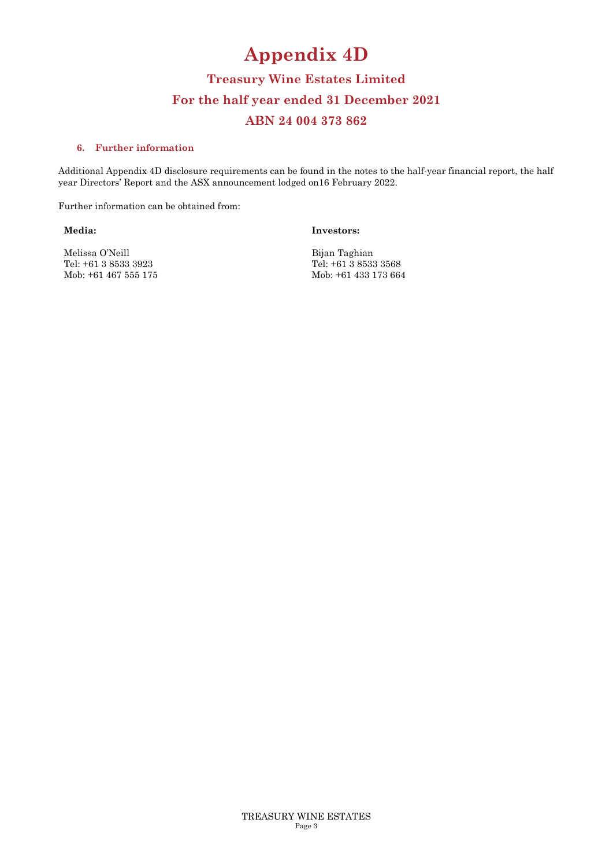# **Appendix 4D**

## **Treasury Wine Estates Limited For the half year ended 31 December 2021 ABN 24 004 373 862**

#### **6. Further information**

Additional Appendix 4D disclosure requirements can be found in the notes to the half-year financial report, the half year Directors' Report and the ASX announcement lodged on16 February 2022.

Further information can be obtained from:

**Media:** 

**Investors:** 

Melissa O'Neill Tel: +61 3 8533 3923 Mob: +61 467 555 175 Bijan Taghian Tel: +61 3 8533 3568 Mob: +61 433 173 664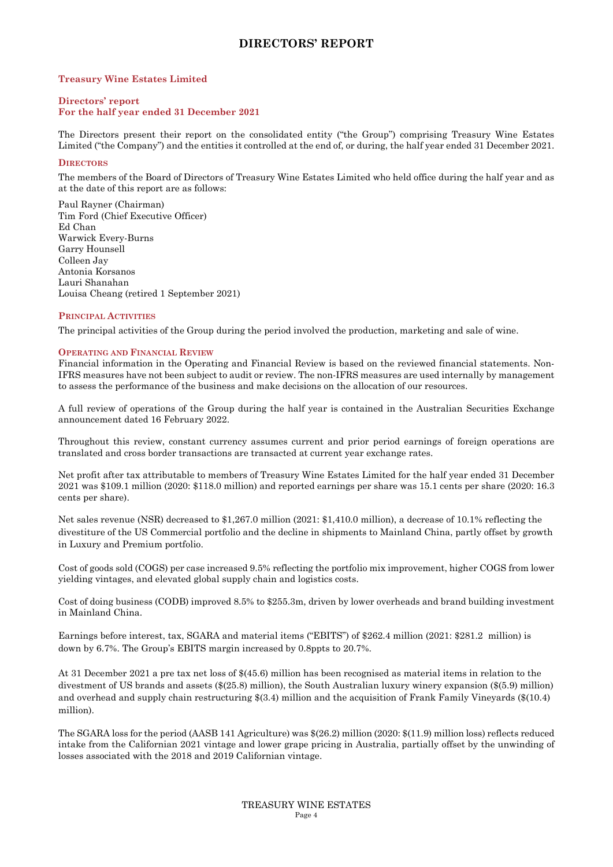## **DIRECTORS' REPORT**

#### **Treasury Wine Estates Limited**

#### **Directors' report For the half year ended 31 December 2021**

The Directors present their report on the consolidated entity ("the Group") comprising Treasury Wine Estates Limited ("the Company") and the entities it controlled at the end of, or during, the half year ended 31 December 2021.

#### **DIRECTORS**

The members of the Board of Directors of Treasury Wine Estates Limited who held office during the half year and as at the date of this report are as follows:

Paul Rayner (Chairman) Tim Ford (Chief Executive Officer) Ed Chan Warwick Every-Burns Garry Hounsell Colleen Jay Antonia Korsanos Lauri Shanahan Louisa Cheang (retired 1 September 2021)

#### **PRINCIPAL ACTIVITIES**

The principal activities of the Group during the period involved the production, marketing and sale of wine.

#### **OPERATING AND FINANCIAL REVIEW**

Financial information in the Operating and Financial Review is based on the reviewed financial statements. Non-IFRS measures have not been subject to audit or review. The non-IFRS measures are used internally by management to assess the performance of the business and make decisions on the allocation of our resources.

A full review of operations of the Group during the half year is contained in the Australian Securities Exchange announcement dated 16 February 2022.

Throughout this review, constant currency assumes current and prior period earnings of foreign operations are translated and cross border transactions are transacted at current year exchange rates.

Net profit after tax attributable to members of Treasury Wine Estates Limited for the half year ended 31 December 2021 was \$109.1 million (2020: \$118.0 million) and reported earnings per share was 15.1 cents per share (2020: 16.3 cents per share).

Net sales revenue (NSR) decreased to \$1,267.0 million (2021: \$1,410.0 million), a decrease of 10.1% reflecting the divestiture of the US Commercial portfolio and the decline in shipments to Mainland China, partly offset by growth in Luxury and Premium portfolio.

Cost of goods sold (COGS) per case increased 9.5% reflecting the portfolio mix improvement, higher COGS from lower yielding vintages, and elevated global supply chain and logistics costs.

Cost of doing business (CODB) improved 8.5% to \$255.3m, driven by lower overheads and brand building investment in Mainland China.

Earnings before interest, tax, SGARA and material items ("EBITS") of \$262.4 million (2021: \$281.2 million) is down by 6.7%. The Group's EBITS margin increased by 0.8ppts to 20.7%.

At 31 December 2021 a pre tax net loss of \$(45.6) million has been recognised as material items in relation to the divestment of US brands and assets (\$(25.8) million), the South Australian luxury winery expansion (\$(5.9) million) and overhead and supply chain restructuring \$(3.4) million and the acquisition of Frank Family Vineyards (\$(10.4) million).

The SGARA loss for the period (AASB 141 Agriculture) was \$(26.2) million (2020: \$(11.9) million loss) reflects reduced intake from the Californian 2021 vintage and lower grape pricing in Australia, partially offset by the unwinding of losses associated with the 2018 and 2019 Californian vintage.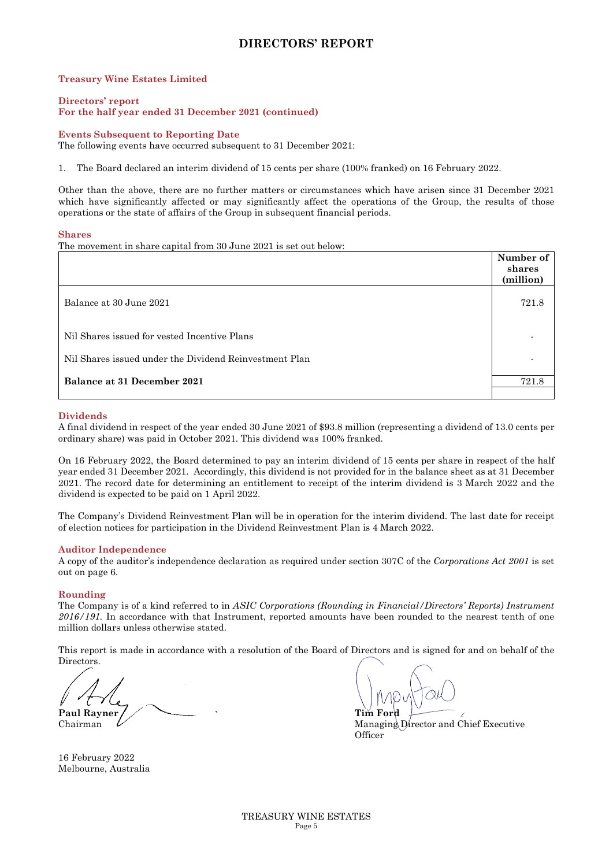## **DIRECTORS' REPORT**

#### **Treasury Wine Estates Limited**

#### **Directors' report For the half year ended 31 December 2021 (continued)**

#### **Events Subsequent to Reporting Date**

The following events have occurred subsequent to 31 December 2021:

1. The Board declared an interim dividend of 15 cents per share (100% franked) on 16 February 2022.

Other than the above, there are no further matters or circumstances which have arisen since 31 December 2021 which have significantly affected or may significantly affect the operations of the Group, the results of those operations or the state of affairs of the Group in subsequent financial periods.

#### **Shares**

The movement in share capital from 30 June 2021 is set out below:

|                                                        | Number of<br>shares<br>(million) |
|--------------------------------------------------------|----------------------------------|
| Balance at 30 June 2021                                | 721.8                            |
| Nil Shares issued for vested Incentive Plans           |                                  |
| Nil Shares issued under the Dividend Reinvestment Plan |                                  |
| Balance at 31 December 2021                            | 721.8                            |

#### **Dividends**

A final dividend in respect of the year ended 30 June 2021 of \$93.8 million (representing a dividend of 13.0 cents per ordinary share) was paid in October 2021. This dividend was 100% franked.

On 16 February 2022, the Board determined to pay an interim dividend of 15 cents per share in respect of the half year ended 31 December 2021. Accordingly, this dividend is not provided for in the balance sheet as at 31 December 2021. The record date for determining an entitlement to receipt of the interim dividend is 3 March 2022 and the dividend is expected to be paid on 1 April 2022.

The Company's Dividend Reinvestment Plan will be in operation for the interim dividend. The last date for receipt of election notices for participation in the Dividend Reinvestment Plan is 4 March 2022.

#### **Auditor Independence**

A copy of the auditor's independence declaration as required under section 307C of the *Corporations Act 2001* is set out on page 6.

#### **Rounding**

The Company is of a kind referred to in *ASIC Corporations (Rounding in Financial/Directors' Reports) Instrument 2016/191.* In accordance with that Instrument, reported amounts have been rounded to the nearest tenth of one million dollars unless otherwise stated.

This report is made in accordance with a resolution of the Board of Directors and is signed for and on behalf of the Directors.

Paul Rayner / **Tim Ford Paul Rayner / Tim Ford** 

Chairman  $\mathcal{U}$  and Chief Executive methods of Managing Director and Chief Executive **Officer** 

16 February 2022 Melbourne, Australia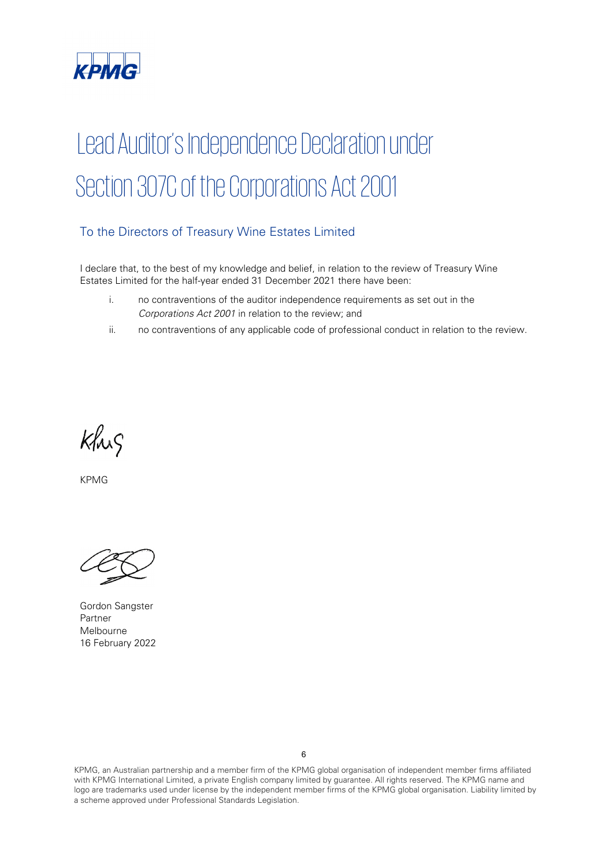

# Lead Auditor's Independence Declaration under Section 307C of the Corporations Act 2001

## To the Directors of Treasury Wine Estates Limited

I declare that, to the best of my knowledge and belief, in relation to the review of Treasury Wine Estates Limited for the half-year ended 31 December 2021 there have been:

- i. no contraventions of the auditor independence requirements as set out in the *Corporations Act 2001* in relation to the review; and
- ii. no contraventions of any applicable code of professional conduct in relation to the review.

Khis

KPMG

Gordon Sangster Partner Melbourne 16 February 2022

KPMG, an Australian partnership and a member firm of the KPMG global organisation of independent member firms affiliated with KPMG International Limited, a private English company limited by guarantee. All rights reserved. The KPMG name and logo are trademarks used under license by the independent member firms of the KPMG global organisation. Liability limited by a scheme approved under Professional Standards Legislation.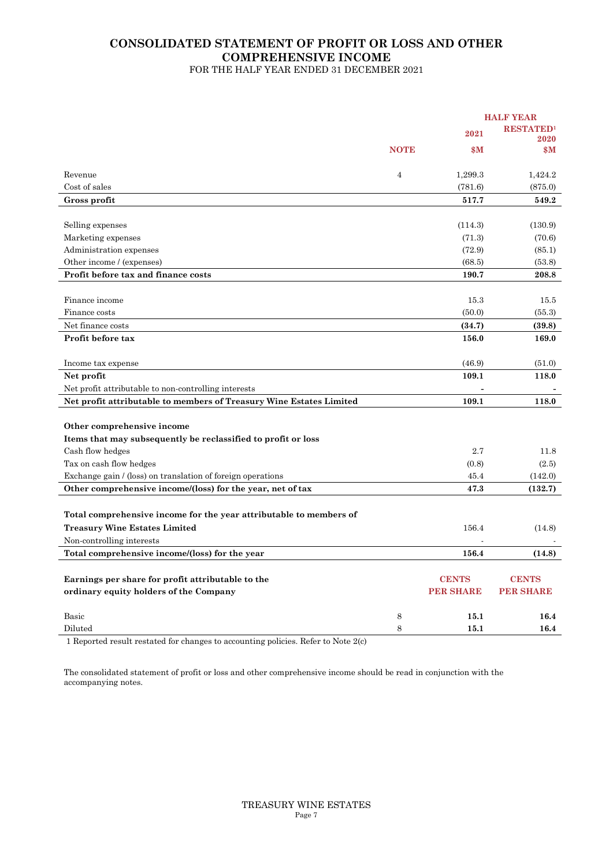#### **CONSOLIDATED STATEMENT OF PROFIT OR LOSS AND OTHER COMPREHENSIVE INCOME**  FOR THE HALF YEAR ENDED 31 DECEMBER 2021

**HALF YEAR 2021 RESTATED<sup>1</sup> 2020 NOTE**  $M$  **\$M**  $M$ Revenue  $\begin{array}{cccc} 4 & 1,299.3 & 1,424.2 \end{array}$  $\cos$  cost of sales (781.6) (875.0) (875.0) **Gross profit 517.7 549.2**  Selling expenses (114.3) (130.9) Marketing expenses  $(71.3)$   $(70.6)$ Administration expenses (72.9) (85.1) Other income / (expenses) (68.5) (53.8) **Profit before tax and finance costs 190.7** 208.8 Finance income 15.3 15.5 Finance costs  $(50.0)$   $(55.3)$ Net finance costs (34.7) **(39.8) (39.8) (39.8) (39.8) Profit before tax** 156.0 169.0 Income tax expense  $(46.9)$  (51.0) **Net profit 109.1 118.0**  Net profit attributable to non-controlling interests Net profit attributable to members of Treasury Wine Estates Limited 109.1 118.0 **Other comprehensive income Items that may subsequently be reclassified to profit or loss**   $\alpha$  Cash flow hedges 2.7 11.8  $\text{Tax on cash flow hedges}$  (2.5) (2.5) Exchange gain / (loss) on translation of foreign operations 45.4 (142.0) Other comprehensive income/(loss) for the year, net of tax 47.3 (132.7) **Total comprehensive income for the year attributable to members of Treasury Wine Estates Limited** 156.4 (14.8) Non-controlling interests Total comprehensive income/(loss) for the year 156.4 (14.8) **Earnings per share for profit attributable to the CENTS CENTS CENTS** CENTS CENTS CENTS CENTS CENTS **ordinary equity holders of the Company PER SHARE PER SHARE PER SHARE** Basic **15.1** 16.4 Diluted 8 **15.1 16.4**

1 Reported result restated for changes to accounting policies. Refer to Note 2(c)

The consolidated statement of profit or loss and other comprehensive income should be read in conjunction with the accompanying notes.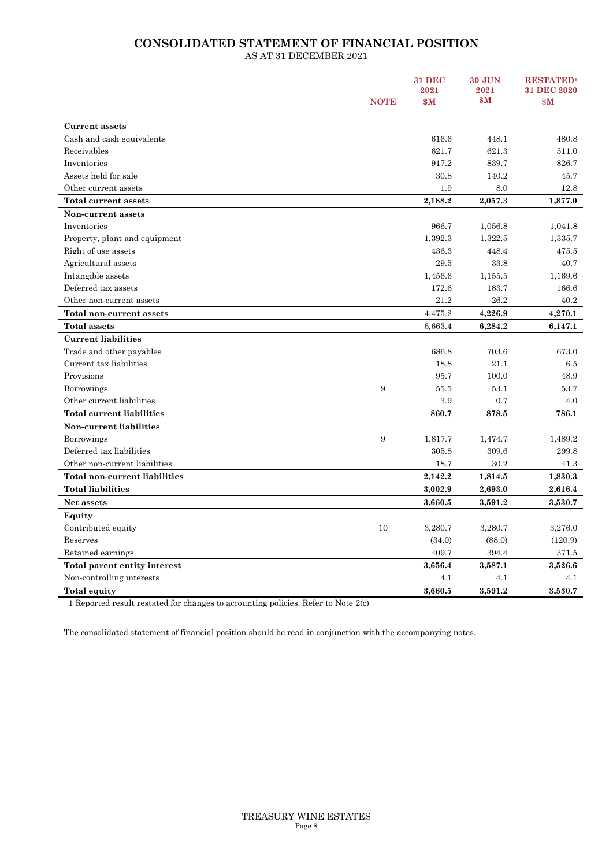## **CONSOLIDATED STATEMENT OF FINANCIAL POSITION**

AS AT 31 DECEMBER 2021

|                                  |             | <b>31 DEC</b><br>2021 | <b>30 JUN</b><br>2021 | <b>RESTATED1</b><br>31 DEC 2020 |
|----------------------------------|-------------|-----------------------|-----------------------|---------------------------------|
|                                  | <b>NOTE</b> | \$M                   | \$M\$                 | \$M\$                           |
| <b>Current assets</b>            |             |                       |                       |                                 |
| Cash and cash equivalents        |             | 616.6                 | 448.1                 | 480.8                           |
| Receivables                      |             | 621.7                 | 621.3                 | 511.0                           |
| Inventories                      |             | 917.2                 | 839.7                 | 826.7                           |
| Assets held for sale             |             | 30.8                  | 140.2                 | 45.7                            |
| Other current assets             |             | 1.9                   | 8.0                   | 12.8                            |
| Total current assets             |             | 2,188.2               | 2,057.3               | 1,877.0                         |
| Non-current assets               |             |                       |                       |                                 |
| Inventories                      |             | 966.7                 | 1,056.8               | 1,041.8                         |
| Property, plant and equipment    |             | 1,392.3               | 1,322.5               | 1,335.7                         |
| Right of use assets              |             | 436.3                 | 448.4                 | 475.5                           |
| Agricultural assets              |             | 29.5                  | 33.8                  | 40.7                            |
| Intangible assets                |             | 1,456.6               | 1,155.5               | 1,169.6                         |
| Deferred tax assets              |             | 172.6                 | 183.7                 | 166.6                           |
| Other non-current assets         |             | 21.2                  | 26.2                  | 40.2                            |
| <b>Total non-current assets</b>  |             | 4,475.2               | 4,226.9               | 4,270.1                         |
| <b>Total assets</b>              |             | 6,663.4               | 6,284.2               | 6,147.1                         |
| <b>Current liabilities</b>       |             |                       |                       |                                 |
| Trade and other payables         |             | 686.8                 | 703.6                 | 673.0                           |
| Current tax liabilities          |             | 18.8                  | 21.1                  | 6.5                             |
| Provisions                       |             | 95.7                  | 100.0                 | 48.9                            |
| Borrowings                       | 9           | 55.5                  | 53.1                  | 53.7                            |
| Other current liabilities        |             | 3.9                   | 0.7                   | 4.0                             |
| <b>Total current liabilities</b> |             | 860.7                 | 878.5                 | 786.1                           |
| Non-current liabilities          |             |                       |                       |                                 |
| <b>Borrowings</b>                | 9           | 1,817.7               | 1,474.7               | 1,489.2                         |
| Deferred tax liabilities         |             | 305.8                 | 309.6                 | 299.8                           |
| Other non-current liabilities    |             | 18.7                  | 30.2                  | 41.3                            |
| Total non-current liabilities    |             | 2,142.2               | 1,814.5               | 1,830.3                         |
| <b>Total liabilities</b>         |             | 3,002.9               | 2,693.0               | 2,616.4                         |
| Net assets                       |             | 3,660.5               | 3,591.2               | 3,530.7                         |
| Equity                           |             |                       |                       |                                 |
| Contributed equity               | 10          | 3,280.7               | 3,280.7               | 3,276.0                         |
| Reserves                         |             | (34.0)                | (88.0)                | (120.9)                         |
| Retained earnings                |             | 409.7                 | 394.4                 | 371.5                           |
| Total parent entity interest     |             | 3,656.4               | 3,587.1               | 3,526.6                         |
| Non-controlling interests        |             | 4.1                   | 4.1                   | 4.1                             |
| <b>Total equity</b>              |             | 3,660.5               | 3,591.2               | 3,530.7                         |

1 Reported result restated for changes to accounting policies. Refer to Note 2(c)

The consolidated statement of financial position should be read in conjunction with the accompanying notes.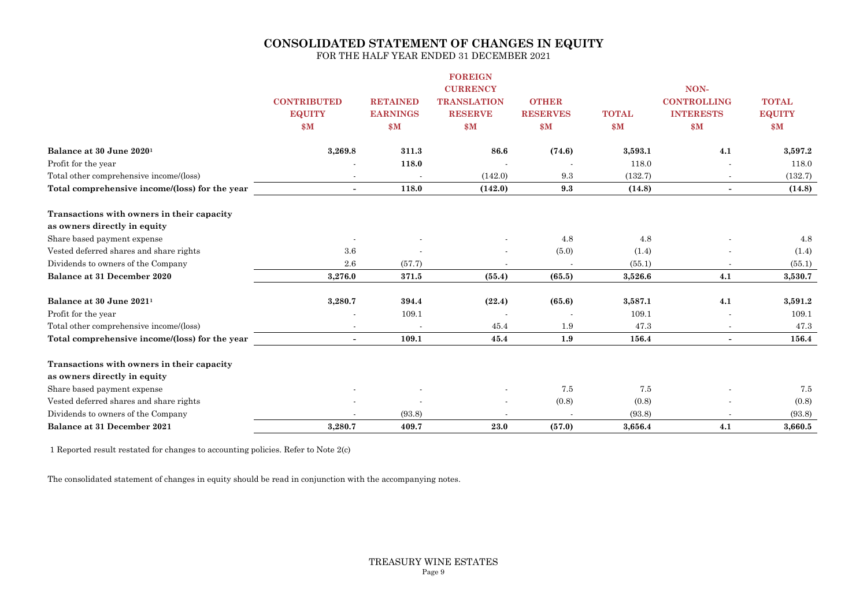## **CONSOLIDATED STATEMENT OF CHANGES IN EQUITY**

FOR THE HALF YEAR ENDED 31 DECEMBER 2021

|                                                |                    |                          | <b>FOREIGN</b>     |                          |              |                          |               |
|------------------------------------------------|--------------------|--------------------------|--------------------|--------------------------|--------------|--------------------------|---------------|
|                                                |                    |                          | <b>CURRENCY</b>    |                          |              | NON-                     |               |
|                                                | <b>CONTRIBUTED</b> | <b>RETAINED</b>          | <b>TRANSLATION</b> | <b>OTHER</b>             |              | <b>CONTROLLING</b>       | <b>TOTAL</b>  |
|                                                | <b>EQUITY</b>      | <b>EARNINGS</b>          | <b>RESERVE</b>     | <b>RESERVES</b>          | <b>TOTAL</b> | <b>INTERESTS</b>         | <b>EQUITY</b> |
|                                                | \$M                | \$M                      | \$M                | \$M                      | \$M          | $\mathbf{\$M}$           | \$M\$         |
| Balance at 30 June 2020 <sup>1</sup>           | 3,269.8            | 311.3                    | 86.6               | (74.6)                   | 3,593.1      | 4.1                      | 3,597.2       |
| Profit for the year                            |                    | 118.0                    |                    |                          | 118.0        |                          | 118.0         |
| Total other comprehensive income/(loss)        | $\blacksquare$     |                          | (142.0)            | 9.3                      | (132.7)      | $\sim$                   | (132.7)       |
| Total comprehensive income/(loss) for the year | $\sim$             | 118.0                    | (142.0)            | 9.3                      | (14.8)       | $\overline{\phantom{a}}$ | (14.8)        |
| Transactions with owners in their capacity     |                    |                          |                    |                          |              |                          |               |
| as owners directly in equity                   |                    |                          |                    |                          |              |                          |               |
| Share based payment expense                    |                    |                          |                    | 4.8                      | 4.8          |                          | 4.8           |
| Vested deferred shares and share rights        | 3.6                |                          |                    | (5.0)                    | (1.4)        |                          | (1.4)         |
| Dividends to owners of the Company             | 2.6                | (57.7)                   |                    | $\overline{\phantom{a}}$ | (55.1)       |                          | (55.1)        |
| Balance at 31 December 2020                    | 3,276.0            | 371.5                    | (55.4)             | (65.5)                   | 3,526.6      | 4.1                      | 3,530.7       |
| Balance at 30 June 2021 <sup>1</sup>           | 3,280.7            | 394.4                    | (22.4)             | (65.6)                   | 3,587.1      | 4.1                      | 3,591.2       |
| Profit for the year                            |                    | 109.1                    |                    |                          | 109.1        |                          | 109.1         |
| Total other comprehensive income/(loss)        |                    | $\overline{\phantom{a}}$ | 45.4               | 1.9                      | 47.3         | $\overline{\phantom{a}}$ | 47.3          |
| Total comprehensive income/(loss) for the year | $\blacksquare$     | 109.1                    | 45.4               | 1.9                      | 156.4        | $\sim$                   | 156.4         |
| Transactions with owners in their capacity     |                    |                          |                    |                          |              |                          |               |
| as owners directly in equity                   |                    |                          |                    |                          |              |                          |               |
| Share based payment expense                    |                    |                          |                    | 7.5                      | 7.5          |                          | 7.5           |
| Vested deferred shares and share rights        |                    |                          |                    | (0.8)                    | (0.8)        |                          | (0.8)         |
| Dividends to owners of the Company             |                    | (93.8)                   |                    |                          | (93.8)       |                          | (93.8)        |
| Balance at 31 December 2021                    | 3,280.7            | 409.7                    | 23.0               | (57.0)                   | 3,656.4      | 4.1                      | 3,660.5       |

1 Reported result restated for changes to accounting policies. Refer to Note 2(c)

The consolidated statement of changes in equity should be read in conjunction with the accompanying notes.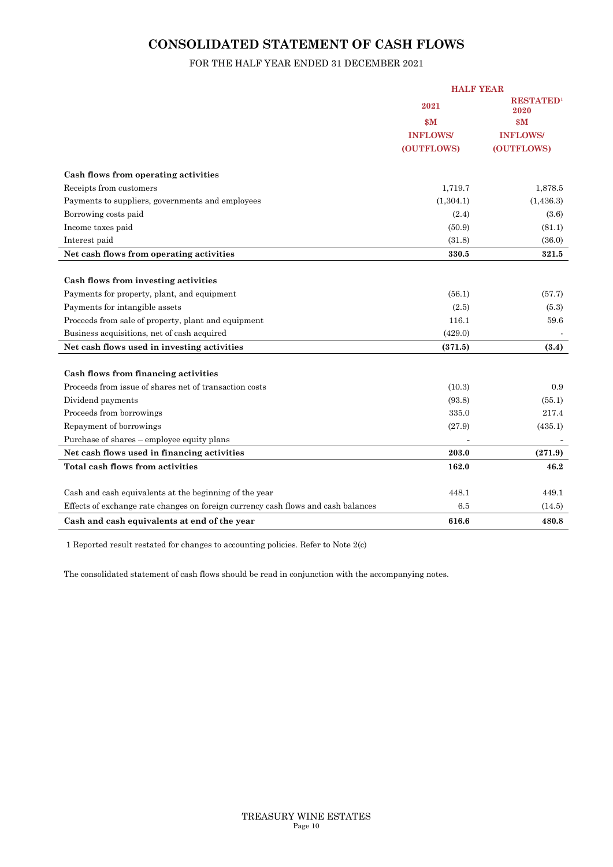## **CONSOLIDATED STATEMENT OF CASH FLOWS**

## FOR THE HALF YEAR ENDED 31 DECEMBER 2021

|                                                                                   | <b>HALF YEAR</b> |                          |  |
|-----------------------------------------------------------------------------------|------------------|--------------------------|--|
|                                                                                   | 2021             | <b>RESTATED1</b><br>2020 |  |
|                                                                                   | \$M              | $\mathbf{\$M}$           |  |
|                                                                                   | <b>INFLOWS/</b>  | <b>INFLOWS/</b>          |  |
|                                                                                   | (OUTFLOWS)       | (OUTFLOWS)               |  |
| Cash flows from operating activities                                              |                  |                          |  |
| Receipts from customers                                                           | 1,719.7          | 1,878.5                  |  |
| Payments to suppliers, governments and employees                                  | (1, 304.1)       | (1,436.3)                |  |
| Borrowing costs paid                                                              | (2.4)            | (3.6)                    |  |
| Income taxes paid                                                                 | (50.9)           | (81.1)                   |  |
| Interest paid                                                                     | (31.8)           | (36.0)                   |  |
| Net cash flows from operating activities                                          | 330.5            | 321.5                    |  |
|                                                                                   |                  |                          |  |
| Cash flows from investing activities                                              |                  |                          |  |
| Payments for property, plant, and equipment                                       | (56.1)           | (57.7)                   |  |
| Payments for intangible assets                                                    | (2.5)            | (5.3)                    |  |
| Proceeds from sale of property, plant and equipment                               | 116.1            | 59.6                     |  |
| Business acquisitions, net of cash acquired                                       | (429.0)          |                          |  |
| Net cash flows used in investing activities                                       | (371.5)          | (3.4)                    |  |
|                                                                                   |                  |                          |  |
| Cash flows from financing activities                                              |                  |                          |  |
| Proceeds from issue of shares net of transaction costs                            | (10.3)           | 0.9                      |  |
| Dividend payments                                                                 | (93.8)           | (55.1)                   |  |
| Proceeds from borrowings                                                          | 335.0            | 217.4                    |  |
| Repayment of borrowings                                                           | (27.9)           | (435.1)                  |  |
| Purchase of shares – employee equity plans                                        |                  |                          |  |
| Net cash flows used in financing activities                                       | 203.0            | (271.9)                  |  |
| Total cash flows from activities                                                  | 162.0            | 46.2                     |  |
| Cash and cash equivalents at the beginning of the year                            | 448.1            | 449.1                    |  |
| Effects of exchange rate changes on foreign currency cash flows and cash balances | 6.5              | (14.5)                   |  |
| Cash and cash equivalents at end of the year                                      | 616.6            | 480.8                    |  |

1 Reported result restated for changes to accounting policies. Refer to Note 2(c)

The consolidated statement of cash flows should be read in conjunction with the accompanying notes.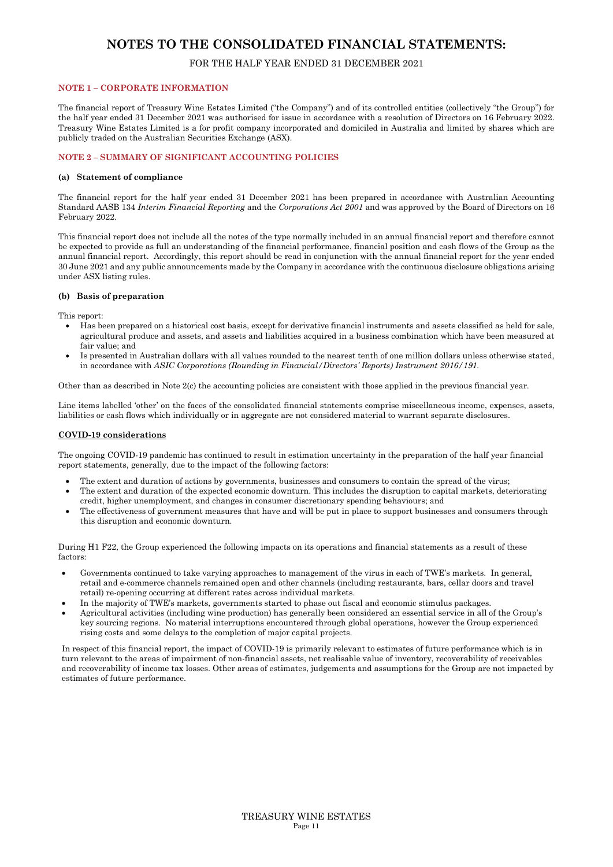## FOR THE HALF YEAR ENDED 31 DECEMBER 2021

#### **NOTE 1 – CORPORATE INFORMATION**

The financial report of Treasury Wine Estates Limited ("the Company") and of its controlled entities (collectively "the Group") for the half year ended 31 December 2021 was authorised for issue in accordance with a resolution of Directors on 16 February 2022. Treasury Wine Estates Limited is a for profit company incorporated and domiciled in Australia and limited by shares which are publicly traded on the Australian Securities Exchange (ASX).

#### **NOTE 2 – SUMMARY OF SIGNIFICANT ACCOUNTING POLICIES**

#### **(a) Statement of compliance**

The financial report for the half year ended 31 December 2021 has been prepared in accordance with Australian Accounting Standard AASB 134 *Interim Financial Reporting* and the *Corporations Act 2001* and was approved by the Board of Directors on 16 February 2022.

This financial report does not include all the notes of the type normally included in an annual financial report and therefore cannot be expected to provide as full an understanding of the financial performance, financial position and cash flows of the Group as the annual financial report. Accordingly, this report should be read in conjunction with the annual financial report for the year ended 30 June 2021 and any public announcements made by the Company in accordance with the continuous disclosure obligations arising under ASX listing rules.

#### **(b) Basis of preparation**

This report:

- Has been prepared on a historical cost basis, except for derivative financial instruments and assets classified as held for sale, agricultural produce and assets, and assets and liabilities acquired in a business combination which have been measured at fair value; and
- Is presented in Australian dollars with all values rounded to the nearest tenth of one million dollars unless otherwise stated, in accordance with *ASIC Corporations (Rounding in Financial/Directors' Reports) Instrument 2016/191.*

Other than as described in Note 2(c) the accounting policies are consistent with those applied in the previous financial year.

Line items labelled 'other' on the faces of the consolidated financial statements comprise miscellaneous income, expenses, assets, liabilities or cash flows which individually or in aggregate are not considered material to warrant separate disclosures.

#### **COVID-19 considerations**

The ongoing COVID-19 pandemic has continued to result in estimation uncertainty in the preparation of the half year financial report statements, generally, due to the impact of the following factors:

- The extent and duration of actions by governments, businesses and consumers to contain the spread of the virus;
- The extent and duration of the expected economic downturn. This includes the disruption to capital markets, deteriorating credit, higher unemployment, and changes in consumer discretionary spending behaviours; and
- The effectiveness of government measures that have and will be put in place to support businesses and consumers through this disruption and economic downturn.

During H1 F22, the Group experienced the following impacts on its operations and financial statements as a result of these factors:

- Governments continued to take varying approaches to management of the virus in each of TWE's markets. In general, retail and e-commerce channels remained open and other channels (including restaurants, bars, cellar doors and travel retail) re-opening occurring at different rates across individual markets.
- In the majority of TWE's markets, governments started to phase out fiscal and economic stimulus packages.
- Agricultural activities (including wine production) has generally been considered an essential service in all of the Group's key sourcing regions. No material interruptions encountered through global operations, however the Group experienced rising costs and some delays to the completion of major capital projects.

In respect of this financial report, the impact of COVID-19 is primarily relevant to estimates of future performance which is in turn relevant to the areas of impairment of non-financial assets, net realisable value of inventory, recoverability of receivables and recoverability of income tax losses. Other areas of estimates, judgements and assumptions for the Group are not impacted by estimates of future performance.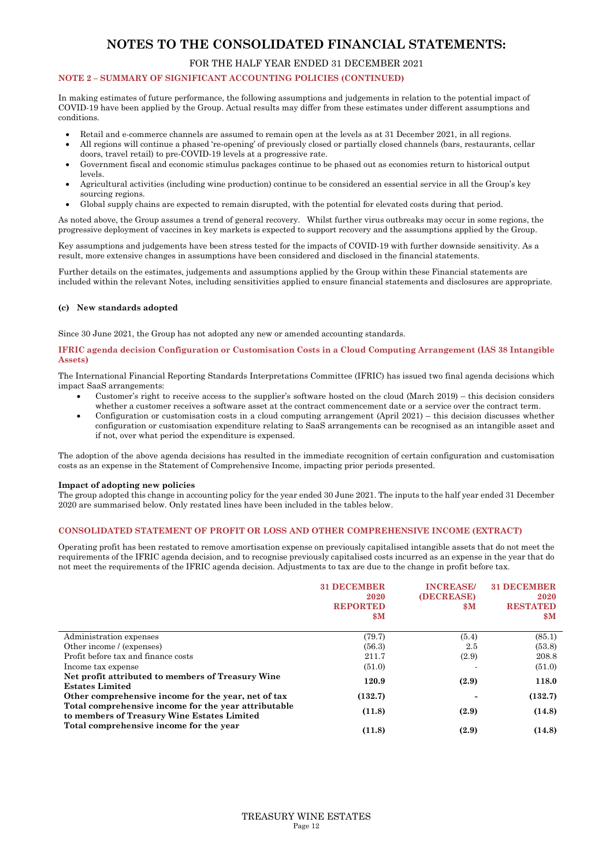#### FOR THE HALF YEAR ENDED 31 DECEMBER 2021

#### **NOTE 2 – SUMMARY OF SIGNIFICANT ACCOUNTING POLICIES (CONTINUED)**

In making estimates of future performance, the following assumptions and judgements in relation to the potential impact of COVID-19 have been applied by the Group. Actual results may differ from these estimates under different assumptions and conditions.

- Retail and e-commerce channels are assumed to remain open at the levels as at 31 December 2021, in all regions.
- All regions will continue a phased 're-opening' of previously closed or partially closed channels (bars, restaurants, cellar doors, travel retail) to pre-COVID-19 levels at a progressive rate.
- Government fiscal and economic stimulus packages continue to be phased out as economies return to historical output levels.
- Agricultural activities (including wine production) continue to be considered an essential service in all the Group's key sourcing regions.
- Global supply chains are expected to remain disrupted, with the potential for elevated costs during that period.

As noted above, the Group assumes a trend of general recovery. Whilst further virus outbreaks may occur in some regions, the progressive deployment of vaccines in key markets is expected to support recovery and the assumptions applied by the Group.

Key assumptions and judgements have been stress tested for the impacts of COVID-19 with further downside sensitivity. As a result, more extensive changes in assumptions have been considered and disclosed in the financial statements.

Further details on the estimates, judgements and assumptions applied by the Group within these Financial statements are included within the relevant Notes, including sensitivities applied to ensure financial statements and disclosures are appropriate.

#### **(c) New standards adopted**

Since 30 June 2021, the Group has not adopted any new or amended accounting standards.

#### **IFRIC agenda decision Configuration or Customisation Costs in a Cloud Computing Arrangement (IAS 38 Intangible Assets)**

The International Financial Reporting Standards Interpretations Committee (IFRIC) has issued two final agenda decisions which impact SaaS arrangements:

- Customer's right to receive access to the supplier's software hosted on the cloud (March 2019) this decision considers whether a customer receives a software asset at the contract commencement date or a service over the contract term.
- Configuration or customisation costs in a cloud computing arrangement (April 2021) this decision discusses whether configuration or customisation expenditure relating to SaaS arrangements can be recognised as an intangible asset and if not, over what period the expenditure is expensed.

The adoption of the above agenda decisions has resulted in the immediate recognition of certain configuration and customisation costs as an expense in the Statement of Comprehensive Income, impacting prior periods presented.

#### **Impact of adopting new policies**

The group adopted this change in accounting policy for the year ended 30 June 2021. The inputs to the half year ended 31 December 2020 are summarised below. Only restated lines have been included in the tables below.

#### **CONSOLIDATED STATEMENT OF PROFIT OR LOSS AND OTHER COMPREHENSIVE INCOME (EXTRACT)**

Operating profit has been restated to remove amortisation expense on previously capitalised intangible assets that do not meet the requirements of the IFRIC agenda decision, and to recognise previously capitalised costs incurred as an expense in the year that do not meet the requirements of the IFRIC agenda decision. Adjustments to tax are due to the change in profit before tax.

|                                                                                                     | <b>31 DECEMBER</b><br>2020<br><b>REPORTED</b><br>$\mathbf{\$M}$ | <b>INCREASE</b><br>(DECREASE)<br><b>SM</b> | <b>31 DECEMBER</b><br>2020<br><b>RESTATED</b><br>$\mathbf{S} \mathbf{M}$ |
|-----------------------------------------------------------------------------------------------------|-----------------------------------------------------------------|--------------------------------------------|--------------------------------------------------------------------------|
| Administration expenses                                                                             | (79.7)                                                          | (5.4)                                      | (85.1)                                                                   |
| Other income / (expenses)                                                                           | (56.3)                                                          | 2.5                                        | (53.8)                                                                   |
| Profit before tax and finance costs                                                                 | 211.7                                                           | (2.9)                                      | 208.8                                                                    |
| Income tax expense                                                                                  | (51.0)                                                          |                                            | (51.0)                                                                   |
| Net profit attributed to members of Treasury Wine<br><b>Estates Limited</b>                         | 120.9                                                           | (2.9)                                      | 118.0                                                                    |
| Other comprehensive income for the year, net of tax                                                 | (132.7)                                                         |                                            | (132.7)                                                                  |
| Total comprehensive income for the year attributable<br>to members of Treasury Wine Estates Limited | (11.8)                                                          | (2.9)                                      | (14.8)                                                                   |
| Total comprehensive income for the year                                                             | (11.8)                                                          | (2.9)                                      | (14.8)                                                                   |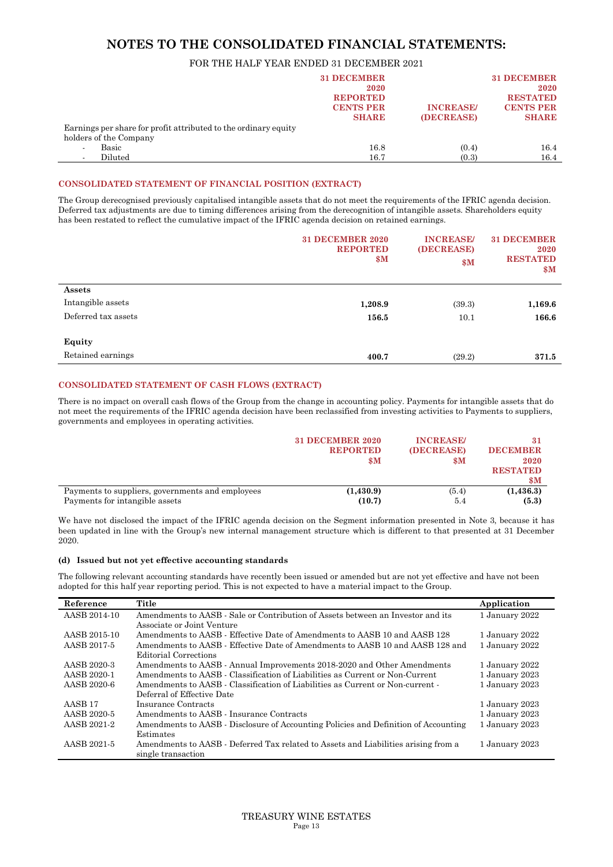#### FOR THE HALF YEAR ENDED 31 DECEMBER 2021

|                                                                 | <b>31 DECEMBER</b> |                  | <b>31 DECEMBER</b> |
|-----------------------------------------------------------------|--------------------|------------------|--------------------|
|                                                                 | 2020               |                  | 2020               |
|                                                                 | <b>REPORTED</b>    |                  | <b>RESTATED</b>    |
|                                                                 | <b>CENTS PER</b>   | <b>INCREASE/</b> | <b>CENTS PER</b>   |
|                                                                 | <b>SHARE</b>       | (DECREASE)       | <b>SHARE</b>       |
| Earnings per share for profit attributed to the ordinary equity |                    |                  |                    |
| holders of the Company                                          |                    |                  |                    |
| Basic                                                           | 16.8               | (0.4)            | 16.4               |
| Diluted<br>$\blacksquare$                                       | 16.7               | (0.3)            | 16.4               |

#### **CONSOLIDATED STATEMENT OF FINANCIAL POSITION (EXTRACT)**

The Group derecognised previously capitalised intangible assets that do not meet the requirements of the IFRIC agenda decision. Deferred tax adjustments are due to timing differences arising from the derecognition of intangible assets. Shareholders equity has been restated to reflect the cumulative impact of the IFRIC agenda decision on retained earnings.

|                     | <b>31 DECEMBER 2020</b><br><b>REPORTED</b><br>$\mathbf{\$M}$ | <b>INCREASE/</b><br>(DECREASE)<br>\$M\$ | <b>31 DECEMBER</b><br>2020<br><b>RESTATED</b><br>$\mathbf{\$M}$ |
|---------------------|--------------------------------------------------------------|-----------------------------------------|-----------------------------------------------------------------|
| Assets              |                                                              |                                         |                                                                 |
| Intangible assets   | 1,208.9                                                      | (39.3)                                  | 1,169.6                                                         |
| Deferred tax assets | 156.5                                                        | 10.1                                    | 166.6                                                           |
| Equity              |                                                              |                                         |                                                                 |
| Retained earnings   | 400.7                                                        | (29.2)                                  | 371.5                                                           |

#### **CONSOLIDATED STATEMENT OF CASH FLOWS (EXTRACT)**

There is no impact on overall cash flows of the Group from the change in accounting policy. Payments for intangible assets that do not meet the requirements of the IFRIC agenda decision have been reclassified from investing activities to Payments to suppliers, governments and employees in operating activities.

|                                                                                    | <b>31 DECEMBER 2020</b><br><b>REPORTED</b><br>$\mathbf{\$M}$ | <b>INCREASE/</b><br>(DECREASE)<br>$\mathbf{\$M}$ | <b>DECEMBER</b><br>2020<br><b>RESTATED</b><br>$\mathbf{\$M}$ |
|------------------------------------------------------------------------------------|--------------------------------------------------------------|--------------------------------------------------|--------------------------------------------------------------|
| Payments to suppliers, governments and employees<br>Payments for intangible assets | (1,430.9)                                                    | (5.4)                                            | (1, 436.3)                                                   |
|                                                                                    | (10.7)                                                       | 5.4                                              | (5.3)                                                        |

We have not disclosed the impact of the IFRIC agenda decision on the Segment information presented in Note 3, because it has been updated in line with the Group's new internal management structure which is different to that presented at 31 December 2020.

#### **(d) Issued but not yet effective accounting standards**

The following relevant accounting standards have recently been issued or amended but are not yet effective and have not been adopted for this half year reporting period. This is not expected to have a material impact to the Group.

| Reference          | Title                                                                               | Application    |
|--------------------|-------------------------------------------------------------------------------------|----------------|
| AASB 2014-10       | Amendments to AASB - Sale or Contribution of Assets between an Investor and its     | 1 January 2022 |
|                    | Associate or Joint Venture                                                          |                |
| AASB 2015-10       | Amendments to AASB - Effective Date of Amendments to AASB 10 and AASB 128           | 1 January 2022 |
| AASB 2017-5        | Amendments to AASB - Effective Date of Amendments to AASB 10 and AASB 128 and       | 1 January 2022 |
|                    | Editorial Corrections                                                               |                |
| AASB 2020-3        | Amendments to AASB - Annual Improvements 2018-2020 and Other Amendments             | 1 January 2022 |
| AASB 2020-1        | Amendments to AASB - Classification of Liabilities as Current or Non-Current        | 1 January 2023 |
| AASB 2020-6        | Amendments to AASB - Classification of Liabilities as Current or Non-current -      | 1 January 2023 |
|                    | Deferral of Effective Date                                                          |                |
| AASB <sub>17</sub> | Insurance Contracts                                                                 | 1 January 2023 |
| AASB 2020-5        | Amendments to AASB - Insurance Contracts                                            | 1 January 2023 |
| AASB 2021-2        | Amendments to AASB - Disclosure of Accounting Policies and Definition of Accounting | 1 January 2023 |
|                    | Estimates                                                                           |                |
| AASB 2021-5        | Amendments to AASB - Deferred Tax related to Assets and Liabilities arising from a  | 1 January 2023 |
|                    | single transaction                                                                  |                |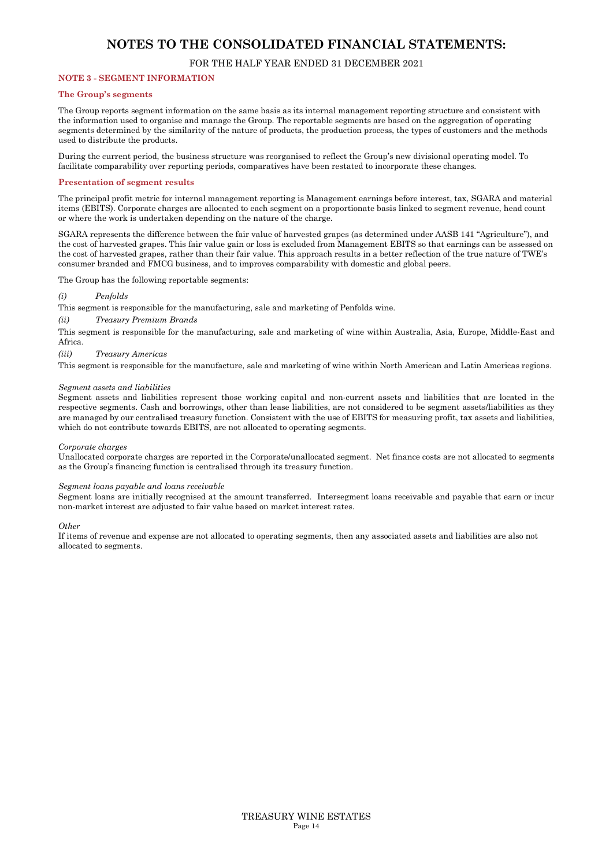#### FOR THE HALF YEAR ENDED 31 DECEMBER 2021

#### **NOTE 3 - SEGMENT INFORMATION**

#### **The Group's segments**

The Group reports segment information on the same basis as its internal management reporting structure and consistent with the information used to organise and manage the Group. The reportable segments are based on the aggregation of operating segments determined by the similarity of the nature of products, the production process, the types of customers and the methods used to distribute the products.

During the current period, the business structure was reorganised to reflect the Group's new divisional operating model. To facilitate comparability over reporting periods, comparatives have been restated to incorporate these changes.

#### **Presentation of segment results**

The principal profit metric for internal management reporting is Management earnings before interest, tax, SGARA and material items (EBITS). Corporate charges are allocated to each segment on a proportionate basis linked to segment revenue, head count or where the work is undertaken depending on the nature of the charge.

SGARA represents the difference between the fair value of harvested grapes (as determined under AASB 141 "Agriculture"), and the cost of harvested grapes. This fair value gain or loss is excluded from Management EBITS so that earnings can be assessed on the cost of harvested grapes, rather than their fair value. This approach results in a better reflection of the true nature of TWE's consumer branded and FMCG business, and to improves comparability with domestic and global peers.

The Group has the following reportable segments:

#### *(i) Penfolds*

This segment is responsible for the manufacturing, sale and marketing of Penfolds wine.

#### *(ii) Treasury Premium Brands*

This segment is responsible for the manufacturing, sale and marketing of wine within Australia, Asia, Europe, Middle-East and Africa.

*(iii) Treasury Americas* 

This segment is responsible for the manufacture, sale and marketing of wine within North American and Latin Americas regions.

#### *Segment assets and liabilities*

Segment assets and liabilities represent those working capital and non-current assets and liabilities that are located in the respective segments. Cash and borrowings, other than lease liabilities, are not considered to be segment assets/liabilities as they are managed by our centralised treasury function. Consistent with the use of EBITS for measuring profit, tax assets and liabilities, which do not contribute towards EBITS, are not allocated to operating segments.

#### *Corporate charges*

Unallocated corporate charges are reported in the Corporate/unallocated segment. Net finance costs are not allocated to segments as the Group's financing function is centralised through its treasury function.

#### *Segment loans payable and loans receivable*

Segment loans are initially recognised at the amount transferred. Intersegment loans receivable and payable that earn or incur non-market interest are adjusted to fair value based on market interest rates.

#### *Other*

If items of revenue and expense are not allocated to operating segments, then any associated assets and liabilities are also not allocated to segments.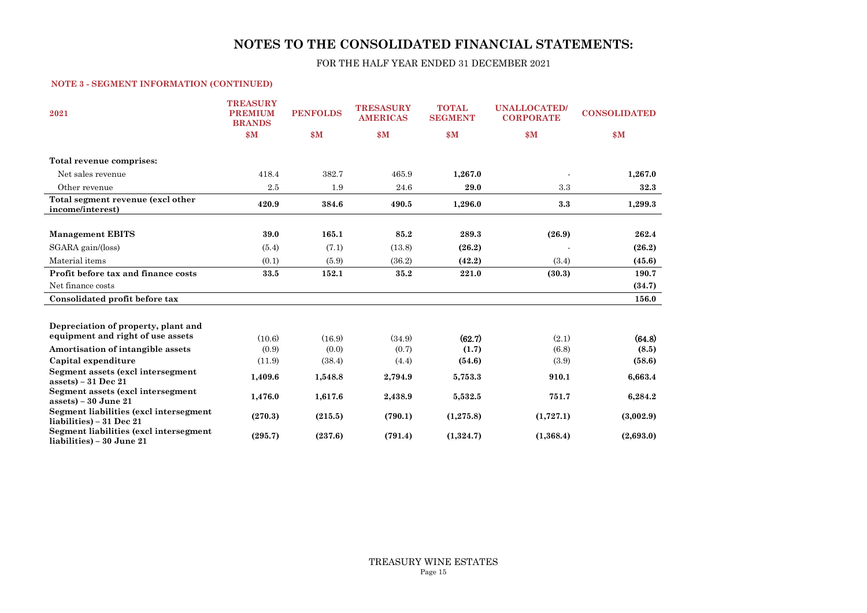FOR THE HALF YEAR ENDED 31 DECEMBER 2021

#### **NOTE 3 - SEGMENT INFORMATION (CONTINUED)**

| 2021                                                                | <b>TREASURY</b><br><b>PREMIUM</b><br><b>BRANDS</b> | <b>PENFOLDS</b> | <b>TRESASURY</b><br><b>AMERICAS</b> | <b>TOTAL</b><br><b>SEGMENT</b> | <b>UNALLOCATED</b><br><b>CORPORATE</b> | <b>CONSOLIDATED</b> |
|---------------------------------------------------------------------|----------------------------------------------------|-----------------|-------------------------------------|--------------------------------|----------------------------------------|---------------------|
|                                                                     | \$M\$                                              | \$M\$           | \$M\$                               | \$M\$                          | \$M\$                                  | \$M\$               |
| Total revenue comprises:                                            |                                                    |                 |                                     |                                |                                        |                     |
| Net sales revenue                                                   | 418.4                                              | 382.7           | 465.9                               | 1,267.0                        |                                        | 1,267.0             |
| Other revenue                                                       | 2.5                                                | 1.9             | 24.6                                | 29.0                           | 3.3                                    | 32.3                |
| Total segment revenue (excl other<br>income/interest)               | 420.9                                              | 384.6           | 490.5                               | 1,296.0                        | 3.3                                    | 1,299.3             |
|                                                                     |                                                    |                 |                                     |                                |                                        |                     |
| <b>Management EBITS</b>                                             | 39.0                                               | 165.1           | 85.2                                | 289.3                          | (26.9)                                 | 262.4               |
| SGARA gain / (loss)                                                 | (5.4)                                              | (7.1)           | (13.8)                              | (26.2)                         |                                        | (26.2)              |
| Material items                                                      | (0.1)                                              | (5.9)           | (36.2)                              | (42.2)                         | (3.4)                                  | (45.6)              |
| Profit before tax and finance costs                                 | 33.5                                               | 152.1           | 35.2                                | 221.0                          | (30.3)                                 | 190.7               |
| Net finance costs                                                   |                                                    |                 |                                     |                                |                                        | (34.7)              |
| Consolidated profit before tax                                      |                                                    |                 |                                     |                                |                                        | 156.0               |
|                                                                     |                                                    |                 |                                     |                                |                                        |                     |
| Depreciation of property, plant and                                 |                                                    |                 |                                     |                                |                                        |                     |
| equipment and right of use assets                                   | (10.6)                                             | (16.9)          | (34.9)                              | (62.7)                         | (2.1)                                  | (64.8)              |
| Amortisation of intangible assets                                   | (0.9)                                              | (0.0)           | (0.7)                               | (1.7)                          | (6.8)                                  | (8.5)               |
| Capital expenditure                                                 | (11.9)                                             | (38.4)          | (4.4)                               | (54.6)                         | (3.9)                                  | (58.6)              |
| Segment assets (excl intersegment<br>$assets$ ) – 31 Dec 21         | 1,409.6                                            | 1,548.8         | 2,794.9                             | 5,753.3                        | 910.1                                  | 6,663.4             |
| Segment assets (excl intersegment<br>$assets$ ) – 30 June 21        | 1,476.0                                            | 1,617.6         | 2,438.9                             | 5,532.5                        | 751.7                                  | 6,284.2             |
| Segment liabilities (excl intersegment<br>liabilities) – 31 Dec 21  | (270.3)                                            | (215.5)         | (790.1)                             | (1,275.8)                      | (1,727.1)                              | (3,002.9)           |
| Segment liabilities (excl intersegment<br>liabilities) – 30 June 21 | (295.7)                                            | (237.6)         | (791.4)                             | (1,324.7)                      | (1,368.4)                              | (2,693.0)           |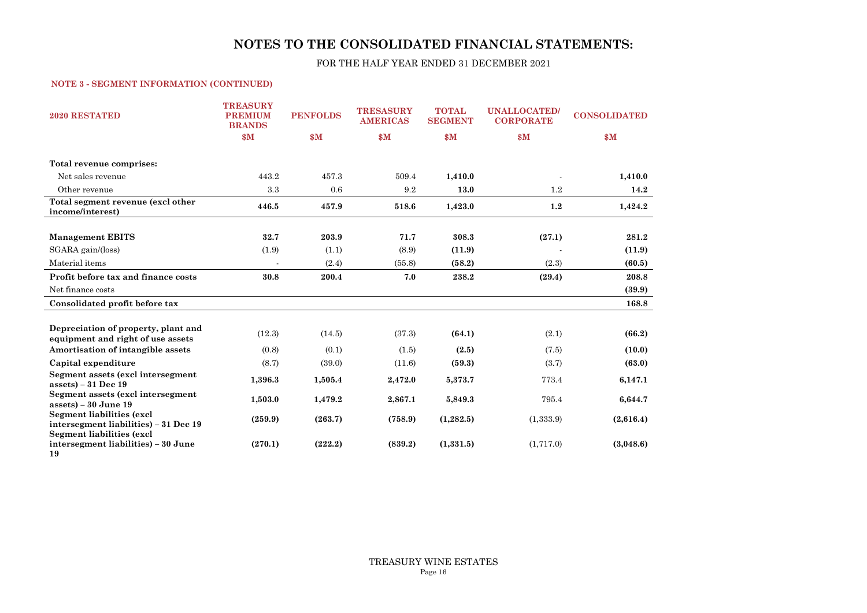FOR THE HALF YEAR ENDED 31 DECEMBER 2021

#### **NOTE 3 - SEGMENT INFORMATION (CONTINUED)**

| <b>2020 RESTATED</b>                                                          | <b>TREASURY</b><br><b>PREMIUM</b><br><b>BRANDS</b> | <b>PENFOLDS</b> | <b>TRESASURY</b><br><b>AMERICAS</b> | <b>TOTAL</b><br><b>SEGMENT</b> | <b>UNALLOCATED/</b><br><b>CORPORATE</b> | <b>CONSOLIDATED</b> |
|-------------------------------------------------------------------------------|----------------------------------------------------|-----------------|-------------------------------------|--------------------------------|-----------------------------------------|---------------------|
|                                                                               | \$M\$                                              | \$M\$           | $\mathbf{s}$ M                      | \$M\$                          | \$M\$                                   | \$M\$               |
| Total revenue comprises:                                                      |                                                    |                 |                                     |                                |                                         |                     |
| Net sales revenue                                                             | 443.2                                              | 457.3           | 509.4                               | 1,410.0                        |                                         | 1,410.0             |
| Other revenue                                                                 | 3.3                                                | 0.6             | 9.2                                 | 13.0                           | 1.2                                     | 14.2                |
| Total segment revenue (excl other<br>income/interest)                         | 446.5                                              | 457.9           | 518.6                               | 1,423.0                        | 1.2                                     | 1,424.2             |
|                                                                               |                                                    |                 |                                     |                                |                                         |                     |
| <b>Management EBITS</b>                                                       | 32.7                                               | 203.9           | 71.7                                | 308.3                          | (27.1)                                  | 281.2               |
| SGARA gain / (loss)                                                           | (1.9)                                              | (1.1)           | (8.9)                               | (11.9)                         |                                         | (11.9)              |
| Material items                                                                |                                                    | (2.4)           | (55.8)                              | (58.2)                         | (2.3)                                   | (60.5)              |
| Profit before tax and finance costs                                           | 30.8                                               | 200.4           | 7.0                                 | 238.2                          | (29.4)                                  | 208.8               |
| Net finance costs                                                             |                                                    |                 |                                     |                                |                                         | (39.9)              |
| Consolidated profit before tax                                                |                                                    |                 |                                     |                                |                                         | 168.8               |
|                                                                               |                                                    |                 |                                     |                                |                                         |                     |
| Depreciation of property, plant and<br>equipment and right of use assets      | (12.3)                                             | (14.5)          | (37.3)                              | (64.1)                         | (2.1)                                   | (66.2)              |
| Amortisation of intangible assets                                             | (0.8)                                              | (0.1)           | (1.5)                               | (2.5)                          | (7.5)                                   | (10.0)              |
| Capital expenditure                                                           | (8.7)                                              | (39.0)          | (11.6)                              | (59.3)                         | (3.7)                                   | (63.0)              |
| Segment assets (excl intersegment<br>$assets$ ) – 31 Dec 19                   | 1,396.3                                            | 1,505.4         | 2,472.0                             | 5,373.7                        | 773.4                                   | 6,147.1             |
| Segment assets (excl intersegment<br>$assets$ ) – 30 June 19                  | 1,503.0                                            | 1,479.2         | 2,867.1                             | 5,849.3                        | 795.4                                   | 6,644.7             |
| <b>Segment liabilities (excl</b><br>intersegment liabilities) – 31 Dec 19     | (259.9)                                            | (263.7)         | (758.9)                             | (1, 282.5)                     | (1,333.9)                               | (2,616.4)           |
| <b>Segment liabilities (excl</b><br>intersegment liabilities) – 30 June<br>19 | (270.1)                                            | (222.2)         | (839.2)                             | (1,331.5)                      | (1,717.0)                               | (3,048.6)           |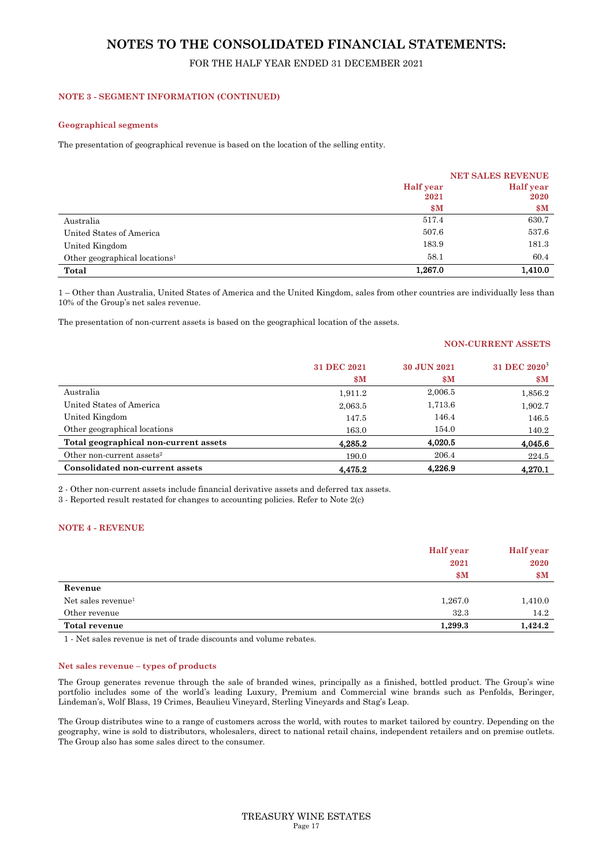## FOR THE HALF YEAR ENDED 31 DECEMBER 2021

#### **NOTE 3 - SEGMENT INFORMATION (CONTINUED)**

#### **Geographical segments**

The presentation of geographical revenue is based on the location of the selling entity.

|                                           |                  | <b>NET SALES REVENUE</b> |
|-------------------------------------------|------------------|--------------------------|
|                                           | <b>Half</b> year | <b>Half</b> year         |
|                                           | 2021             | 2020                     |
|                                           | $\mathbf{\$M}$   | \$M\$                    |
| Australia                                 | 517.4            | 630.7                    |
| United States of America                  | 507.6            | 537.6                    |
| United Kingdom                            | 183.9            | 181.3                    |
| Other geographical locations <sup>1</sup> | 58.1             | 60.4                     |
| Total                                     | 1,267.0          | 1,410.0                  |

1 – Other than Australia, United States of America and the United Kingdom, sales from other countries are individually less than 10% of the Group's net sales revenue.

The presentation of non-current assets is based on the geographical location of the assets.

#### **NON-CURRENT ASSETS**

|                                       | 31 DEC 2021<br>$\mathbf{\$M}$ | 30 JUN 2021<br>$\mathbf{\$M}$ | 31 DEC 2020 <sup>3</sup><br>\$M\$ |
|---------------------------------------|-------------------------------|-------------------------------|-----------------------------------|
| Australia                             | 1,911.2                       | 2,006.5                       | 1,856.2                           |
| United States of America              | 2,063.5                       | 1,713.6                       | 1,902.7                           |
| United Kingdom                        | 147.5                         | 146.4                         | 146.5                             |
| Other geographical locations          | 163.0                         | 154.0                         | 140.2                             |
| Total geographical non-current assets | 4,285.2                       | 4,020.5                       | 4,045.6                           |
| Other non-current assets <sup>2</sup> | 190.0                         | 206.4                         | 224.5                             |
| Consolidated non-current assets       | 4.475.2                       | 4.226.9                       | 4.270.1                           |

2 - Other non-current assets include financial derivative assets and deferred tax assets.

3 - Reported result restated for changes to accounting policies. Refer to Note 2(c)

#### **NOTE 4 - REVENUE**

|                                | <b>Half</b> year | <b>Half</b> year |
|--------------------------------|------------------|------------------|
|                                | 2021             | 2020             |
|                                | \$M              | \$M\$            |
| Revenue                        |                  |                  |
| Net sales revenue <sup>1</sup> | 1,267.0          | 1,410.0          |
| Other revenue                  | 32.3             | 14.2             |
| Total revenue                  | 1,299.3          | 1,424.2          |

1 - Net sales revenue is net of trade discounts and volume rebates.

#### **Net sales revenue – types of products**

The Group generates revenue through the sale of branded wines, principally as a finished, bottled product. The Group's wine portfolio includes some of the world's leading Luxury, Premium and Commercial wine brands such as Penfolds, Beringer, Lindeman's, Wolf Blass, 19 Crimes, Beaulieu Vineyard, Sterling Vineyards and Stag's Leap.

The Group distributes wine to a range of customers across the world, with routes to market tailored by country. Depending on the geography, wine is sold to distributors, wholesalers, direct to national retail chains, independent retailers and on premise outlets. The Group also has some sales direct to the consumer.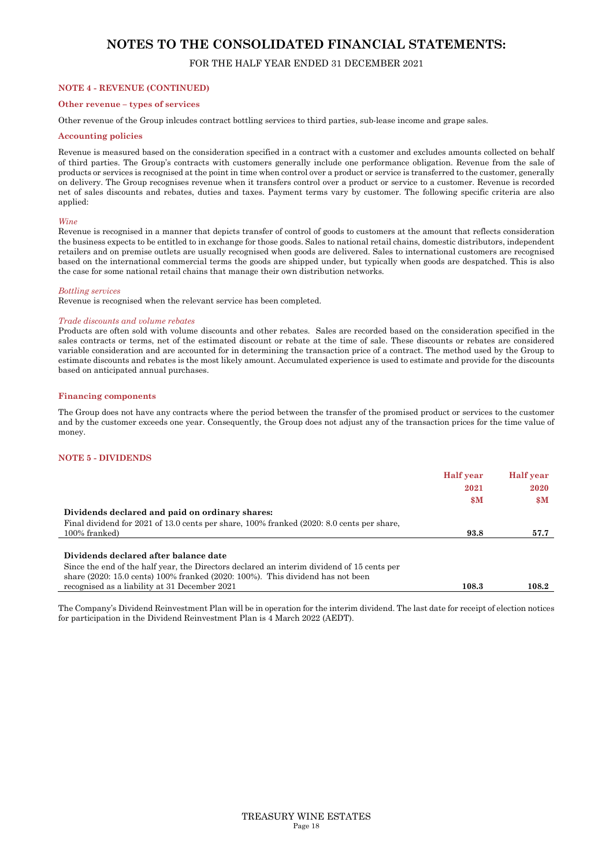#### FOR THE HALF YEAR ENDED 31 DECEMBER 2021

#### **NOTE 4 - REVENUE (CONTINUED)**

## **Other revenue – types of services**

Other revenue of the Group inlcudes contract bottling services to third parties, sub-lease income and grape sales.

#### **Accounting policies**

Revenue is measured based on the consideration specified in a contract with a customer and excludes amounts collected on behalf of third parties. The Group's contracts with customers generally include one performance obligation. Revenue from the sale of products or services is recognised at the point in time when control over a product or service is transferred to the customer, generally on delivery. The Group recognises revenue when it transfers control over a product or service to a customer. Revenue is recorded net of sales discounts and rebates, duties and taxes. Payment terms vary by customer. The following specific criteria are also applied:

#### *Wine*

Revenue is recognised in a manner that depicts transfer of control of goods to customers at the amount that reflects consideration the business expects to be entitled to in exchange for those goods. Sales to national retail chains, domestic distributors, independent retailers and on premise outlets are usually recognised when goods are delivered. Sales to international customers are recognised based on the international commercial terms the goods are shipped under, but typically when goods are despatched. This is also the case for some national retail chains that manage their own distribution networks.

#### *Bottling services*

Revenue is recognised when the relevant service has been completed.

#### *Trade discounts and volume rebates*

Products are often sold with volume discounts and other rebates. Sales are recorded based on the consideration specified in the sales contracts or terms, net of the estimated discount or rebate at the time of sale. These discounts or rebates are considered variable consideration and are accounted for in determining the transaction price of a contract. The method used by the Group to estimate discounts and rebates is the most likely amount. Accumulated experience is used to estimate and provide for the discounts based on anticipated annual purchases.

#### **Financing components**

The Group does not have any contracts where the period between the transfer of the promised product or services to the customer and by the customer exceeds one year. Consequently, the Group does not adjust any of the transaction prices for the time value of money.

#### **NOTE 5 - DIVIDENDS**

| 2021<br>2020<br>$\mathbf{\$M}$<br>Dividends declared and paid on ordinary shares:            |                                                                                           | <b>Half</b> year | <b>Half</b> year |
|----------------------------------------------------------------------------------------------|-------------------------------------------------------------------------------------------|------------------|------------------|
|                                                                                              |                                                                                           |                  |                  |
|                                                                                              |                                                                                           |                  | $\mathbf{\$M}$   |
|                                                                                              |                                                                                           |                  |                  |
|                                                                                              | Final dividend for 2021 of 13.0 cents per share, 100% franked (2020: 8.0 cents per share, |                  |                  |
| 100% franked)<br>93.8                                                                        |                                                                                           |                  | 57.7             |
|                                                                                              |                                                                                           |                  |                  |
| Dividends declared after balance date                                                        |                                                                                           |                  |                  |
| Since the end of the half year, the Directors declared an interim dividend of 15 cents per   |                                                                                           |                  |                  |
| share $(2020: 15.0 \text{ cents})$ 100% franked $(2020: 100\%)$ . This dividend has not been |                                                                                           |                  |                  |
| recognised as a liability at 31 December 2021<br>108.3                                       |                                                                                           |                  | 108.2            |

The Company's Dividend Reinvestment Plan will be in operation for the interim dividend. The last date for receipt of election notices for participation in the Dividend Reinvestment Plan is 4 March 2022 (AEDT).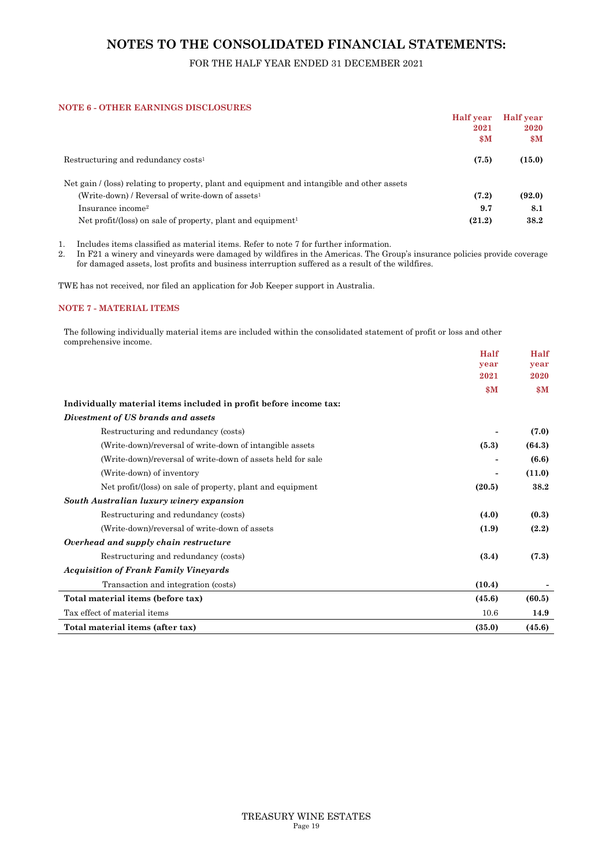## FOR THE HALF YEAR ENDED 31 DECEMBER 2021

#### **NOTE 6 - OTHER EARNINGS DISCLOSURES**

|                                                                                             | Half year      | <b>Half</b> year        |
|---------------------------------------------------------------------------------------------|----------------|-------------------------|
|                                                                                             | 2021           | 2020                    |
|                                                                                             | $\mathbf{s}$ M | $\mathbf{S} \mathbf{M}$ |
| Restructuring and redundancy costs <sup>1</sup>                                             | (7.5)          | (15.0)                  |
| Net gain / (loss) relating to property, plant and equipment and intangible and other assets |                |                         |
| (Write-down) / Reversal of write-down of assets <sup>1</sup>                                | (7.2)          | (92.0)                  |
| Insurance income <sup>2</sup>                                                               | 9.7            | 8.1                     |
| Net profit/(loss) on sale of property, plant and equipment <sup>1</sup>                     | (21.2)         | 38.2                    |
|                                                                                             |                |                         |

1. Includes items classified as material items. Refer to note 7 for further information.

2. In F21 a winery and vineyards were damaged by wildfires in the Americas. The Group's insurance policies provide coverage for damaged assets, lost profits and business interruption suffered as a result of the wildfires.

TWE has not received, nor filed an application for Job Keeper support in Australia.

#### **NOTE 7 - MATERIAL ITEMS**

The following individually material items are included within the consolidated statement of profit or loss and other comprehensive income.  $H = 10^{-1}$ 

|                                                                   | Half           | Half   |
|-------------------------------------------------------------------|----------------|--------|
|                                                                   | year           | year   |
|                                                                   | 2021           | 2020   |
|                                                                   | $\mathbf{\$M}$ | \$M\$  |
| Individually material items included in profit before income tax: |                |        |
| Divestment of US brands and assets                                |                |        |
| Restructuring and redundancy (costs)                              |                | (7.0)  |
| (Write-down)/reversal of write-down of intangible assets          | (5.3)          | (64.3) |
| (Write-down)/reversal of write-down of assets held for sale       |                | (6.6)  |
| (Write-down) of inventory                                         |                | (11.0) |
| Net profit/(loss) on sale of property, plant and equipment        | (20.5)         | 38.2   |
| South Australian luxury winery expansion                          |                |        |
| Restructuring and redundancy (costs)                              | (4.0)          | (0.3)  |
| (Write-down)/reversal of write-down of assets                     | (1.9)          | (2.2)  |
| Overhead and supply chain restructure                             |                |        |
| Restructuring and redundancy (costs)                              | (3.4)          | (7.3)  |
| <b>Acquisition of Frank Family Vineyards</b>                      |                |        |
| Transaction and integration (costs)                               | (10.4)         |        |
| Total material items (before tax)                                 | (45.6)         | (60.5) |
| Tax effect of material items                                      | 10.6           | 14.9   |
| Total material items (after tax)                                  | (35.0)         | (45.6) |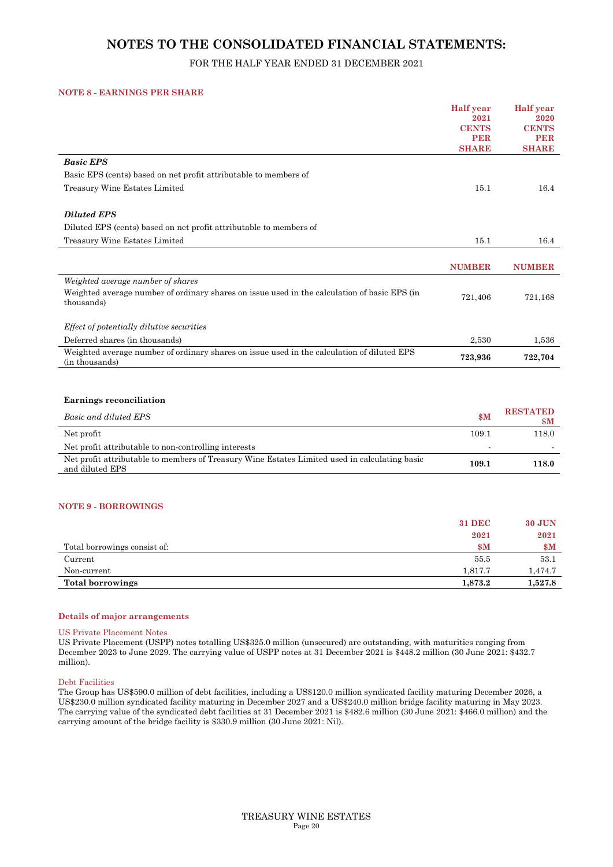## FOR THE HALF YEAR ENDED 31 DECEMBER 2021

#### **NOTE 8 - EARNINGS PER SHARE**

|                                                                                                                  | <b>Half</b> year     | <b>Half</b> year     |
|------------------------------------------------------------------------------------------------------------------|----------------------|----------------------|
|                                                                                                                  | 2021<br><b>CENTS</b> | 2020<br><b>CENTS</b> |
|                                                                                                                  | <b>PER</b>           | <b>PER</b>           |
|                                                                                                                  | <b>SHARE</b>         | <b>SHARE</b>         |
| <b>Basic EPS</b>                                                                                                 |                      |                      |
| Basic EPS (cents) based on net profit attributable to members of                                                 |                      |                      |
| Treasury Wine Estates Limited                                                                                    | 15.1                 | 16.4                 |
| <b>Diluted EPS</b>                                                                                               |                      |                      |
| Diluted EPS (cents) based on net profit attributable to members of                                               |                      |                      |
| Treasury Wine Estates Limited                                                                                    | 15.1                 | 16.4                 |
|                                                                                                                  |                      |                      |
|                                                                                                                  | <b>NUMBER</b>        | <b>NUMBER</b>        |
| Weighted average number of shares                                                                                |                      |                      |
| Weighted average number of ordinary shares on issue used in the calculation of basic EPS (in<br>thousands)       | 721,406              | 721,168              |
| Effect of potentially dilutive securities                                                                        |                      |                      |
| Deferred shares (in thousands)                                                                                   | 2,530                | 1,536                |
| Weighted average number of ordinary shares on issue used in the calculation of diluted EPS<br>(in thousands)     | 723,936              | 722,704              |
|                                                                                                                  |                      |                      |
| <b>Earnings reconciliation</b>                                                                                   |                      |                      |
|                                                                                                                  |                      | <b>RESTATED</b>      |
| Basic and diluted EPS                                                                                            | \$M\$                | $\mathbf{\$M}$       |
| Net profit                                                                                                       | 109.1                | 118.0                |
| Net profit attributable to non-controlling interests                                                             |                      |                      |
| Net profit attributable to members of Treasury Wine Estates Limited used in calculating basic<br>and diluted EPS | 109.1                | 118.0                |

#### **NOTE 9 - BORROWINGS**

|                              | <b>31 DEC</b>  | <b>30 JUN</b>  |
|------------------------------|----------------|----------------|
|                              | 2021           | 2021           |
| Total borrowings consist of: | $\mathbf{S}$ M | $\mathbf{\$M}$ |
| Current                      | 55.5           | 53.1           |
| Non-current                  | 1,817.7        | 1,474.7        |
| <b>Total borrowings</b>      | 1,873.2        | 1,527.8        |

#### **Details of major arrangements**

US Private Placement Notes

US Private Placement (USPP) notes totalling US\$325.0 million (unsecured) are outstanding, with maturities ranging from December 2023 to June 2029. The carrying value of USPP notes at 31 December 2021 is \$448.2 million (30 June 2021: \$432.7 million).

#### Debt Facilities

The Group has US\$590.0 million of debt facilities, including a US\$120.0 million syndicated facility maturing December 2026, a US\$230.0 million syndicated facility maturing in December 2027 and a US\$240.0 million bridge facility maturing in May 2023. The carrying value of the syndicated debt facilities at 31 December 2021 is \$482.6 million (30 June 2021: \$466.0 million) and the carrying amount of the bridge facility is \$330.9 million (30 June 2021: Nil).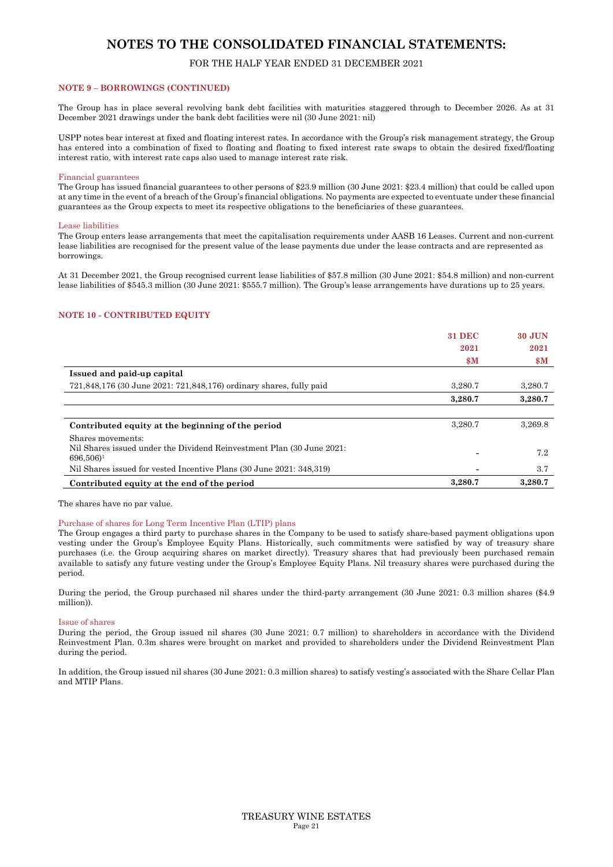#### FOR THE HALF YEAR ENDED 31 DECEMBER 2021

#### **NOTE 9 – BORROWINGS (CONTINUED)**

The Group has in place several revolving bank debt facilities with maturities staggered through to December 2026. As at 31 December 2021 drawings under the bank debt facilities were nil (30 June 2021: nil)

USPP notes bear interest at fixed and floating interest rates. In accordance with the Group's risk management strategy, the Group has entered into a combination of fixed to floating and floating to fixed interest rate swaps to obtain the desired fixed/floating interest ratio, with interest rate caps also used to manage interest rate risk.

#### Financial guarantees

The Group has issued financial guarantees to other persons of \$23.9 million (30 June 2021: \$23.4 million) that could be called upon at any time in the event of a breach of the Group's financial obligations. No payments are expected to eventuate under these financial guarantees as the Group expects to meet its respective obligations to the beneficiaries of these guarantees.

#### Lease liabilities

The Group enters lease arrangements that meet the capitalisation requirements under AASB 16 Leases. Current and non-current lease liabilities are recognised for the present value of the lease payments due under the lease contracts and are represented as borrowings.

At 31 December 2021, the Group recognised current lease liabilities of \$57.8 million (30 June 2021: \$54.8 million) and non-current lease liabilities of \$545.3 million (30 June 2021: \$555.7 million). The Group's lease arrangements have durations up to 25 years.

#### **NOTE 10 - CONTRIBUTED EQUITY**

|                                                                       | <b>31 DEC</b>  | <b>30 JUN</b>  |
|-----------------------------------------------------------------------|----------------|----------------|
|                                                                       | 2021           | 2021           |
|                                                                       | $\mathbf{s}$ M | $\mathbf{\$M}$ |
| Issued and paid-up capital                                            |                |                |
| 721,848,176 (30 June 2021: 721,848,176) ordinary shares, fully paid   | 3,280.7        | 3,280.7        |
|                                                                       | 3,280.7        | 3,280.7        |
|                                                                       |                |                |
| Contributed equity at the beginning of the period                     | 3.280.7        | 3.269.8        |
| Shares movements:                                                     |                |                |
| Nil Shares issued under the Dividend Reinvestment Plan (30 June 2021: |                | 7.2            |
| $696,506$ <sup>1</sup>                                                |                |                |
| Nil Shares issued for vested Incentive Plans (30 June 2021: 348, 319) |                | 3.7            |
| Contributed equity at the end of the period                           | 3.280.7        | 3.280.7        |

The shares have no par value.

#### Purchase of shares for Long Term Incentive Plan (LTIP) plans

The Group engages a third party to purchase shares in the Company to be used to satisfy share-based payment obligations upon vesting under the Group's Employee Equity Plans. Historically, such commitments were satisfied by way of treasury share purchases (i.e. the Group acquiring shares on market directly). Treasury shares that had previously been purchased remain available to satisfy any future vesting under the Group's Employee Equity Plans. Nil treasury shares were purchased during the period.

During the period, the Group purchased nil shares under the third-party arrangement (30 June 2021: 0.3 million shares (\$4.9 million)).

#### Issue of shares

During the period, the Group issued nil shares (30 June 2021: 0.7 million) to shareholders in accordance with the Dividend Reinvestment Plan. 0.3m shares were brought on market and provided to shareholders under the Dividend Reinvestment Plan during the period.

In addition, the Group issued nil shares (30 June 2021: 0.3 million shares) to satisfy vesting's associated with the Share Cellar Plan and MTIP Plans.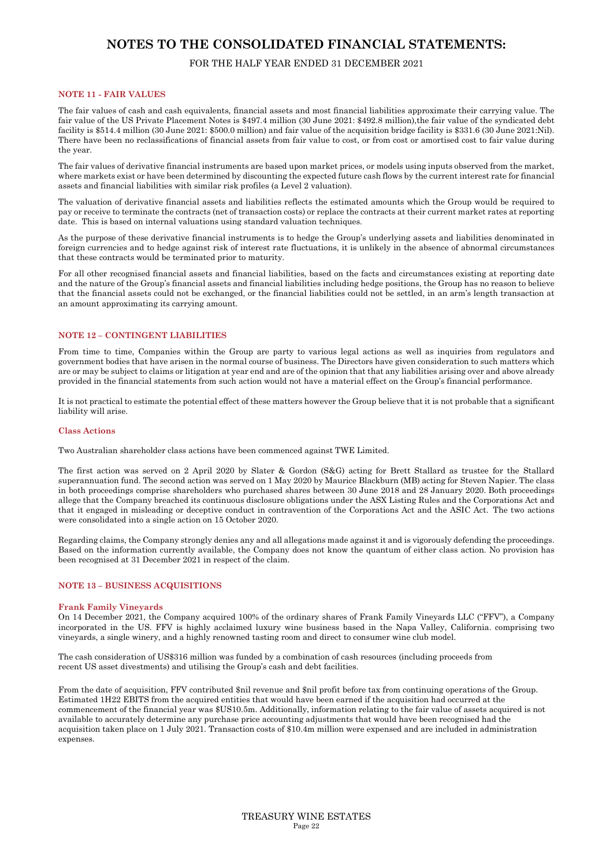## FOR THE HALF YEAR ENDED 31 DECEMBER 2021

#### **NOTE 11 - FAIR VALUES**

The fair values of cash and cash equivalents, financial assets and most financial liabilities approximate their carrying value. The fair value of the US Private Placement Notes is \$497.4 million (30 June 2021: \$492.8 million),the fair value of the syndicated debt facility is \$514.4 million (30 June 2021: \$500.0 million) and fair value of the acquisition bridge facility is \$331.6 (30 June 2021:Nil). There have been no reclassifications of financial assets from fair value to cost, or from cost or amortised cost to fair value during the year.

The fair values of derivative financial instruments are based upon market prices, or models using inputs observed from the market, where markets exist or have been determined by discounting the expected future cash flows by the current interest rate for financial assets and financial liabilities with similar risk profiles (a Level 2 valuation).

The valuation of derivative financial assets and liabilities reflects the estimated amounts which the Group would be required to pay or receive to terminate the contracts (net of transaction costs) or replace the contracts at their current market rates at reporting date. This is based on internal valuations using standard valuation techniques.

As the purpose of these derivative financial instruments is to hedge the Group's underlying assets and liabilities denominated in foreign currencies and to hedge against risk of interest rate fluctuations, it is unlikely in the absence of abnormal circumstances that these contracts would be terminated prior to maturity.

For all other recognised financial assets and financial liabilities, based on the facts and circumstances existing at reporting date and the nature of the Group's financial assets and financial liabilities including hedge positions, the Group has no reason to believe that the financial assets could not be exchanged, or the financial liabilities could not be settled, in an arm's length transaction at an amount approximating its carrying amount.

#### **NOTE 12 – CONTINGENT LIABILITIES**

From time to time, Companies within the Group are party to various legal actions as well as inquiries from regulators and government bodies that have arisen in the normal course of business. The Directors have given consideration to such matters which are or may be subject to claims or litigation at year end and are of the opinion that that any liabilities arising over and above already provided in the financial statements from such action would not have a material effect on the Group's financial performance.

It is not practical to estimate the potential effect of these matters however the Group believe that it is not probable that a significant liability will arise.

#### **Class Actions**

Two Australian shareholder class actions have been commenced against TWE Limited.

The first action was served on 2 April 2020 by Slater & Gordon (S&G) acting for Brett Stallard as trustee for the Stallard superannuation fund. The second action was served on 1 May 2020 by Maurice Blackburn (MB) acting for Steven Napier. The class in both proceedings comprise shareholders who purchased shares between 30 June 2018 and 28 January 2020. Both proceedings allege that the Company breached its continuous disclosure obligations under the ASX Listing Rules and the Corporations Act and that it engaged in misleading or deceptive conduct in contravention of the Corporations Act and the ASIC Act. The two actions were consolidated into a single action on 15 October 2020.

Regarding claims, the Company strongly denies any and all allegations made against it and is vigorously defending the proceedings. Based on the information currently available, the Company does not know the quantum of either class action. No provision has been recognised at 31 December 2021 in respect of the claim.

#### **NOTE 13 – BUSINESS ACQUISITIONS**

#### **Frank Family Vineyards**

On 14 December 2021, the Company acquired 100% of the ordinary shares of Frank Family Vineyards LLC ("FFV"), a Company incorporated in the US. FFV is highly acclaimed luxury wine business based in the Napa Valley, California. comprising two vineyards, a single winery, and a highly renowned tasting room and direct to consumer wine club model.

The cash consideration of US\$316 million was funded by a combination of cash resources (including proceeds from recent US asset divestments) and utilising the Group's cash and debt facilities.

From the date of acquisition, FFV contributed \$nil revenue and \$nil profit before tax from continuing operations of the Group. Estimated 1H22 EBITS from the acquired entities that would have been earned if the acquisition had occurred at the commencement of the financial year was \$US10.5m. Additionally, information relating to the fair value of assets acquired is not available to accurately determine any purchase price accounting adjustments that would have been recognised had the acquisition taken place on 1 July 2021. Transaction costs of \$10.4m million were expensed and are included in administration expenses.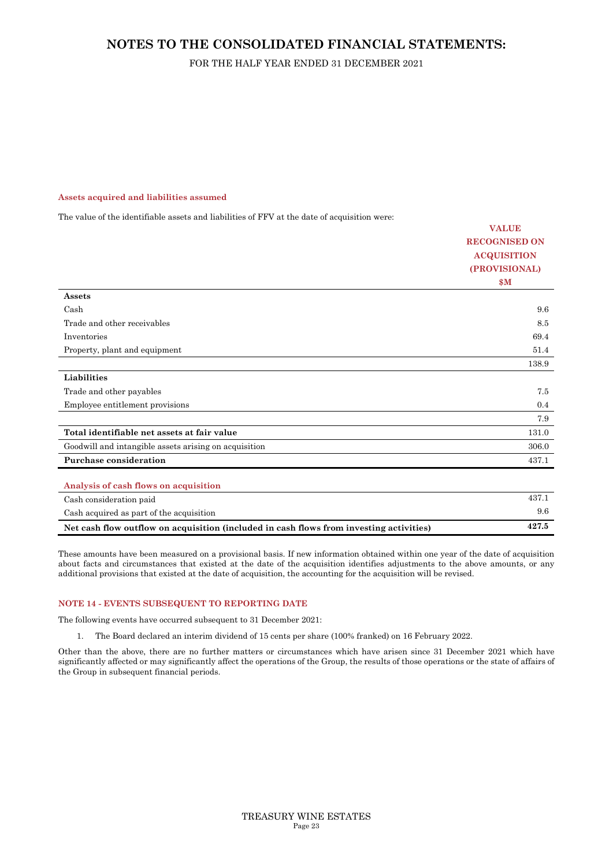## FOR THE HALF YEAR ENDED 31 DECEMBER 2021

#### **Assets acquired and liabilities assumed**

The value of the identifiable assets and liabilities of FFV at the date of acquisition were:

|                                                                                         | <b>VALUE</b>         |
|-----------------------------------------------------------------------------------------|----------------------|
|                                                                                         | <b>RECOGNISED ON</b> |
|                                                                                         | <b>ACQUISITION</b>   |
|                                                                                         | (PROVISIONAL)        |
|                                                                                         | \$M\$                |
| Assets                                                                                  |                      |
| Cash                                                                                    | 9.6                  |
| Trade and other receivables                                                             | 8.5                  |
| Inventories                                                                             | 69.4                 |
| Property, plant and equipment                                                           | 51.4                 |
|                                                                                         | 138.9                |
| Liabilities                                                                             |                      |
| Trade and other payables                                                                | 7.5                  |
| Employee entitlement provisions                                                         | 0.4                  |
|                                                                                         | 7.9                  |
| Total identifiable net assets at fair value                                             | 131.0                |
| Goodwill and intangible assets arising on acquisition                                   | 306.0                |
| <b>Purchase consideration</b>                                                           | 437.1                |
|                                                                                         |                      |
| Analysis of cash flows on acquisition                                                   |                      |
| Cash consideration paid                                                                 | 437.1                |
| Cash acquired as part of the acquisition                                                | 9.6                  |
| Net cash flow outflow on acquisition (included in cash flows from investing activities) | 427.5                |

These amounts have been measured on a provisional basis. If new information obtained within one year of the date of acquisition about facts and circumstances that existed at the date of the acquisition identifies adjustments to the above amounts, or any additional provisions that existed at the date of acquisition, the accounting for the acquisition will be revised.

#### **NOTE 14 - EVENTS SUBSEQUENT TO REPORTING DATE**

The following events have occurred subsequent to 31 December 2021:

1. The Board declared an interim dividend of 15 cents per share (100% franked) on 16 February 2022.

Other than the above, there are no further matters or circumstances which have arisen since 31 December 2021 which have significantly affected or may significantly affect the operations of the Group, the results of those operations or the state of affairs of the Group in subsequent financial periods.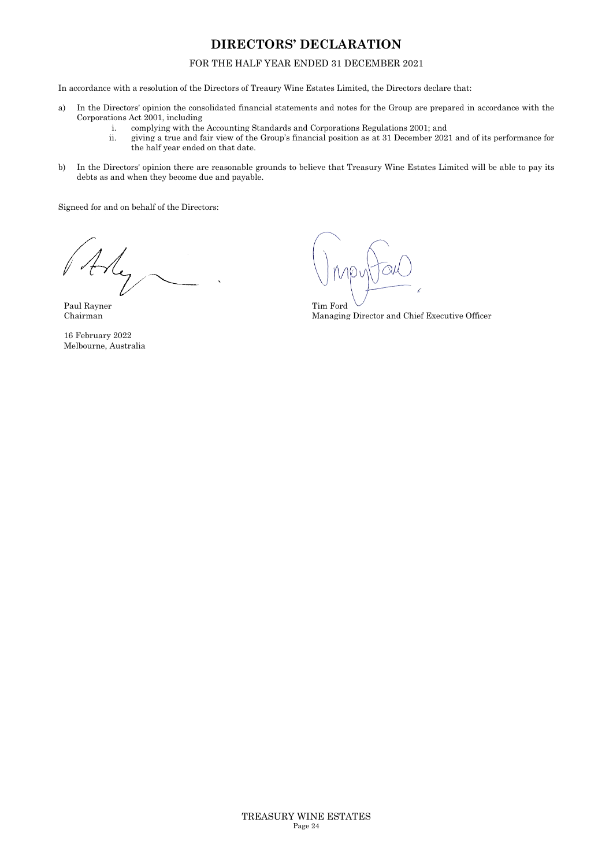## **DIRECTORS' DECLARATION**

#### FOR THE HALF YEAR ENDED 31 DECEMBER 2021

In accordance with a resolution of the Directors of Treaury Wine Estates Limited, the Directors declare that:

- a) In the Directors' opinion the consolidated financial statements and notes for the Group are prepared in accordance with the Corporations Act 2001, including
	- i. complying with the Accounting Standards and Corporations Regulations 2001; and
	- ii. giving a true and fair view of the Group's financial position as at 31 December 2021 and of its performance for the half year ended on that date.
- b) In the Directors' opinion there are reasonable grounds to believe that Treasury Wine Estates Limited will be able to pay its debts as and when they become due and payable.

Signeed for and on behalf of the Directors:

Paul Rayner Chairman

16 February 2022 Melbourne, Australia

Tim Ford Managing Director and Chief Executive Officer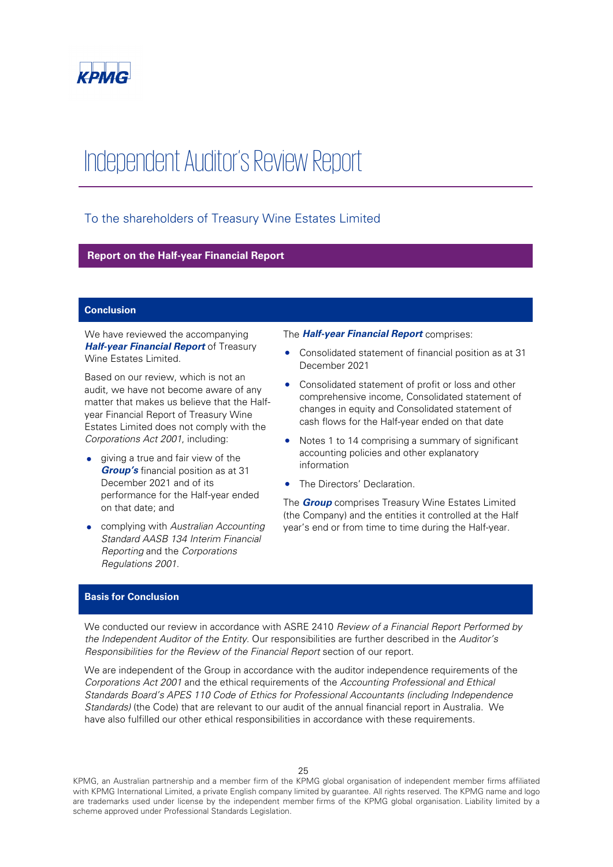

# Independent Auditor's Review Report

## To the shareholders of Treasury Wine Estates Limited

#### **Report on the Half-year Financial Report**

#### **Conclusion**

We have reviewed the accompanying *Half-year Financial Report* of Treasury Wine Estates Limited.

Based on our review, which is not an audit, we have not become aware of any matter that makes us believe that the Halfyear Financial Report of Treasury Wine Estates Limited does not comply with the *Corporations Act 2001*, including:

- giving a true and fair view of the *Group's* financial position as at 31 December 2021 and of its performance for the Half-year ended on that date; and
- complying with *Australian Accounting Standard AASB 134 Interim Financial Reporting* and the *Corporations Regulations 2001*.

The *Half-year Financial Report* comprises:

- Consolidated statement of financial position as at 31 December 2021
- Consolidated statement of profit or loss and other comprehensive income, Consolidated statement of changes in equity and Consolidated statement of cash flows for the Half-year ended on that date
- Notes 1 to 14 comprising a summary of significant accounting policies and other explanatory information
- The Directors' Declaration.

The *Group* comprises Treasury Wine Estates Limited (the Company) and the entities it controlled at the Half year's end or from time to time during the Half-year.

#### **Basis for Conclusion**

We conducted our review in accordance with ASRE 2410 *Review of a Financial Report Performed by the Independent Auditor of the Entity*. Our responsibilities are further described in the *Auditor's Responsibilities for the Review of the Financial Report* section of our report.

We are independent of the Group in accordance with the auditor independence requirements of the *Corporations Act 2001* and the ethical requirements of the *Accounting Professional and Ethical Standards Board's APES 110 Code of Ethics for Professional Accountants (including Independence Standards)* (the Code) that are relevant to our audit of the annual financial report in Australia. We have also fulfilled our other ethical responsibilities in accordance with these requirements.

KPMG, an Australian partnership and a member firm of the KPMG global organisation of independent member firms affiliated with KPMG International Limited, a private English company limited by guarantee. All rights reserved. The KPMG name and logo are trademarks used under license by the independent member firms of the KPMG global organisation. Liability limited by a scheme approved under Professional Standards Legislation.